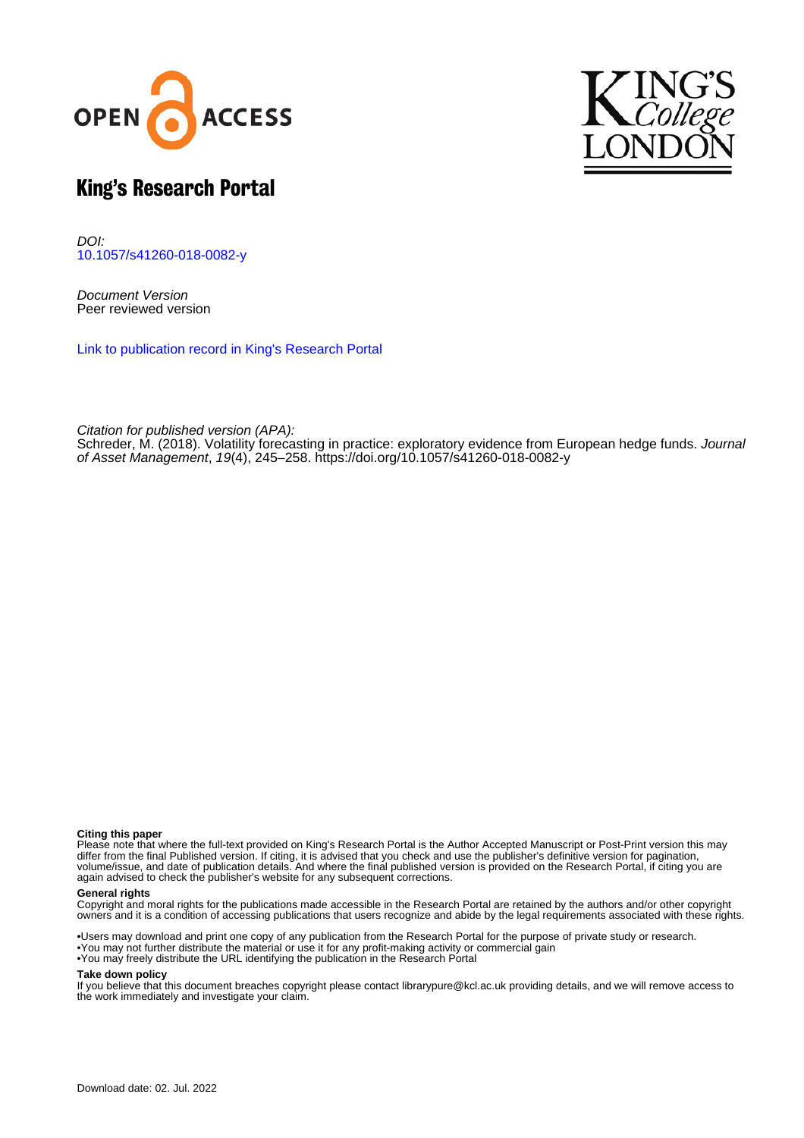



# King's Research Portal

DOI: [10.1057/s41260-018-0082-y](https://doi.org/10.1057/s41260-018-0082-y)

Document Version Peer reviewed version

[Link to publication record in King's Research Portal](https://kclpure.kcl.ac.uk/portal/en/publications/volatility-forecasting-in-practice(44fe40eb-d371-424c-a14c-d31709b2a3e2).html)

Citation for published version (APA):

[Schreder, M.](https://kclpure.kcl.ac.uk/portal/en/persons/max-schreder(e77f81ba-a8b2-4c24-a17f-ecf72f54c143).html) (2018). [Volatility forecasting in practice: exploratory evidence from European hedge funds](https://kclpure.kcl.ac.uk/portal/en/publications/volatility-forecasting-in-practice(44fe40eb-d371-424c-a14c-d31709b2a3e2).html). [Journal](https://kclpure.kcl.ac.uk/portal/en/journals/journal-of-asset-management(ebe7dfbd-cb6b-4721-bc97-ddf8f698e2a9).html) [of Asset Management](https://kclpure.kcl.ac.uk/portal/en/journals/journal-of-asset-management(ebe7dfbd-cb6b-4721-bc97-ddf8f698e2a9).html), 19(4), 245–258.<https://doi.org/10.1057/s41260-018-0082-y>

#### **Citing this paper**

Please note that where the full-text provided on King's Research Portal is the Author Accepted Manuscript or Post-Print version this may differ from the final Published version. If citing, it is advised that you check and use the publisher's definitive version for pagination, volume/issue, and date of publication details. And where the final published version is provided on the Research Portal, if citing you are again advised to check the publisher's website for any subsequent corrections.

#### **General rights**

Copyright and moral rights for the publications made accessible in the Research Portal are retained by the authors and/or other copyright owners and it is a condition of accessing publications that users recognize and abide by the legal requirements associated with these rights.

•Users may download and print one copy of any publication from the Research Portal for the purpose of private study or research. •You may not further distribute the material or use it for any profit-making activity or commercial gain •You may freely distribute the URL identifying the publication in the Research Portal

#### **Take down policy**

If you believe that this document breaches copyright please contact librarypure@kcl.ac.uk providing details, and we will remove access to the work immediately and investigate your claim.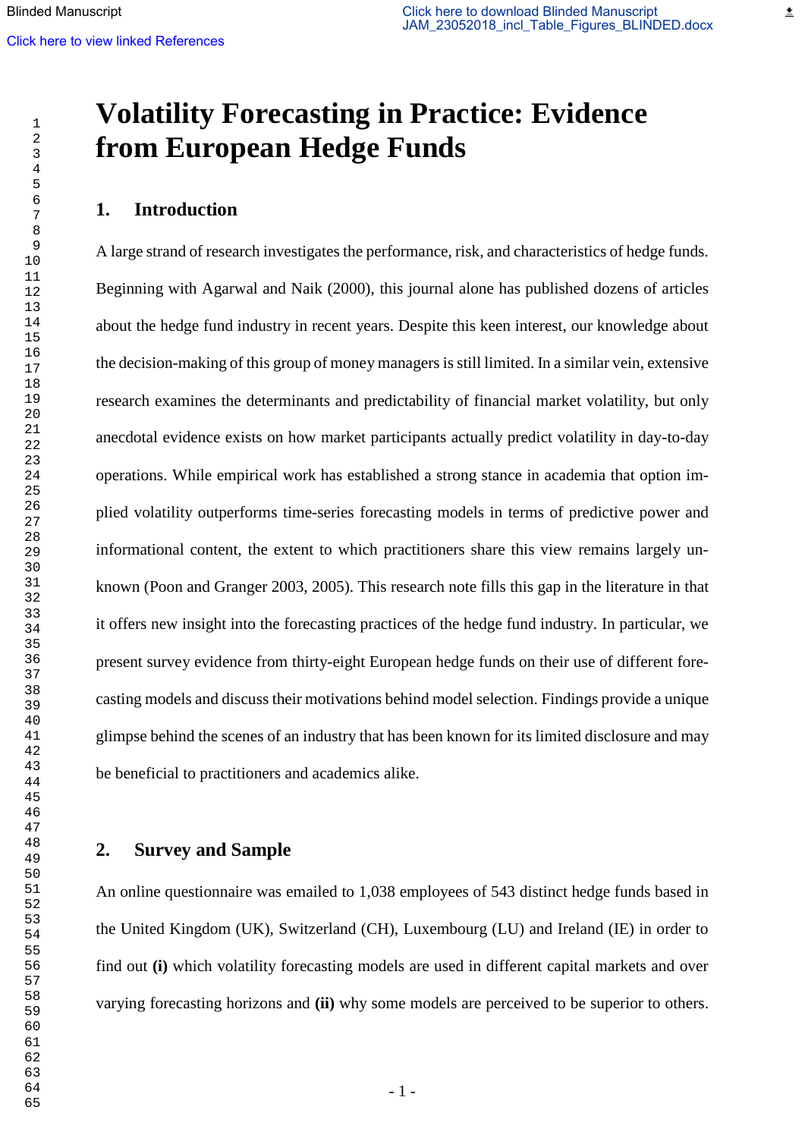# **Volatility Forecasting in Practice: Evidence from European Hedge Funds**

# **1. Introduction**

A large strand of research investigates the performance, risk, and characteristics of hedge funds. Beginning with Agarwal and Naik (2000), this journal alone has published dozens of articles about the hedge fund industry in recent years. Despite this keen interest, our knowledge about the decision-making of this group of money managers is still limited. In a similar vein, extensive research examines the determinants and predictability of financial market volatility, but only anecdotal evidence exists on how market participants actually predict volatility in day-to-day operations. While empirical work has established a strong stance in academia that option implied volatility outperforms time-series forecasting models in terms of predictive power and informational content, the extent to which practitioners share this view remains largely unknown (Poon and Granger 2003, 2005). This research note fills this gap in the literature in that it offers new insight into the forecasting practices of the hedge fund industry. In particular, we present survey evidence from thirty-eight European hedge funds on their use of different forecasting models and discuss their motivations behind model selection. Findings provide a unique glimpse behind the scenes of an industry that has been known for its limited disclosure and may be beneficial to practitioners and academics alike.

# **2. Survey and Sample**

An online questionnaire was emailed to 1,038 employees of 543 distinct hedge funds based in the United Kingdom (UK), Switzerland (CH), Luxembourg (LU) and Ireland (IE) in order to find out **(i)** which volatility forecasting models are used in different capital markets and over varying forecasting horizons and **(ii)** why some models are perceived to be superior to others.

≛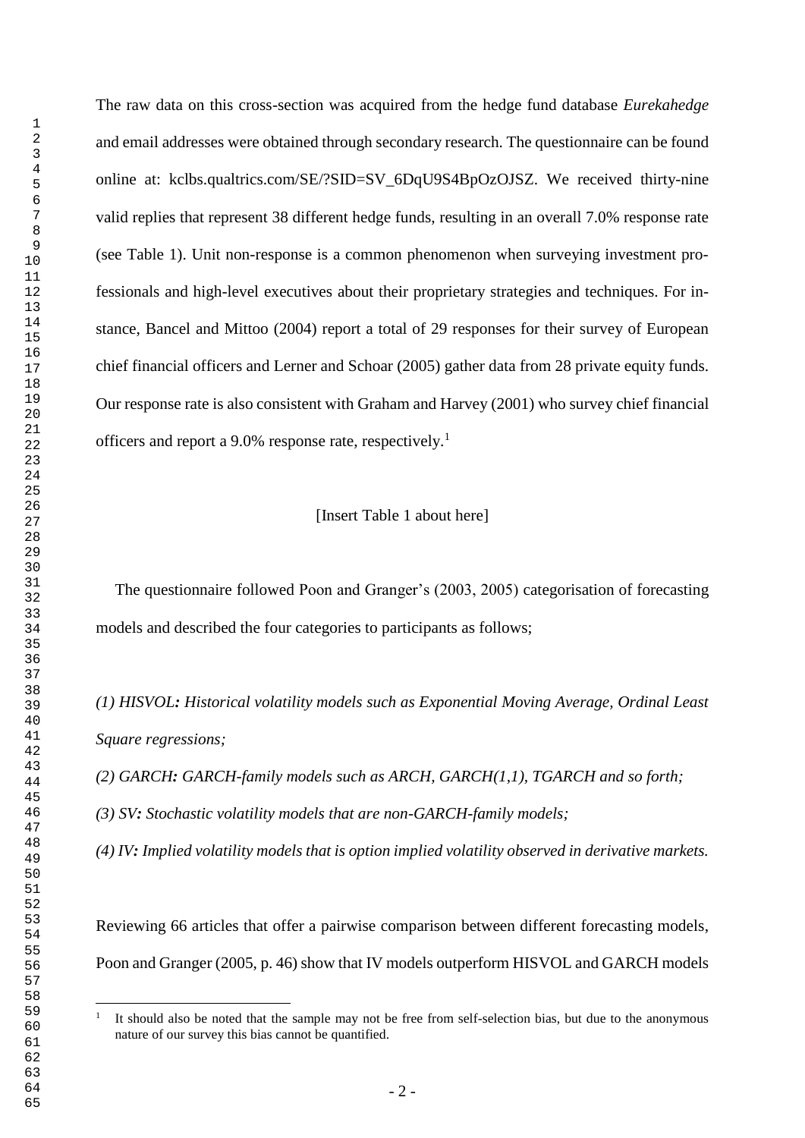$\overline{a}$ 

The raw data on this cross-section was acquired from the hedge fund database *Eurekahedge* and email addresses were obtained through secondary research. The questionnaire can be found online at: kclbs.qualtrics.com/SE/?SID=SV\_6DqU9S4BpOzOJSZ. We received thirty-nine valid replies that represent 38 different hedge funds, resulting in an overall 7.0% response rate (see Table 1). Unit non-response is a common phenomenon when surveying investment professionals and high-level executives about their proprietary strategies and techniques. For instance, Bancel and Mittoo (2004) report a total of 29 responses for their survey of European chief financial officers and Lerner and Schoar (2005) gather data from 28 private equity funds. Our response rate is also consistent with Graham and Harvey (2001) who survey chief financial officers and report a 9.0% response rate, respectively.<sup>1</sup>

#### [Insert Table 1 about here]

The questionnaire followed Poon and Granger's (2003, 2005) categorisation of forecasting models and described the four categories to participants as follows;

*(1) HISVOL: Historical volatility models such as Exponential Moving Average, Ordinal Least Square regressions;* 

*(2) GARCH: GARCH-family models such as ARCH, GARCH(1,1), TGARCH and so forth;* 

*(3) SV: Stochastic volatility models that are non-GARCH-family models;* 

*(4) IV: Implied volatility models that is option implied volatility observed in derivative markets.*

Reviewing 66 articles that offer a pairwise comparison between different forecasting models, Poon and Granger (2005, p. 46) show that IV models outperform HISVOL and GARCH models

It should also be noted that the sample may not be free from self-selection bias, but due to the anonymous nature of our survey this bias cannot be quantified.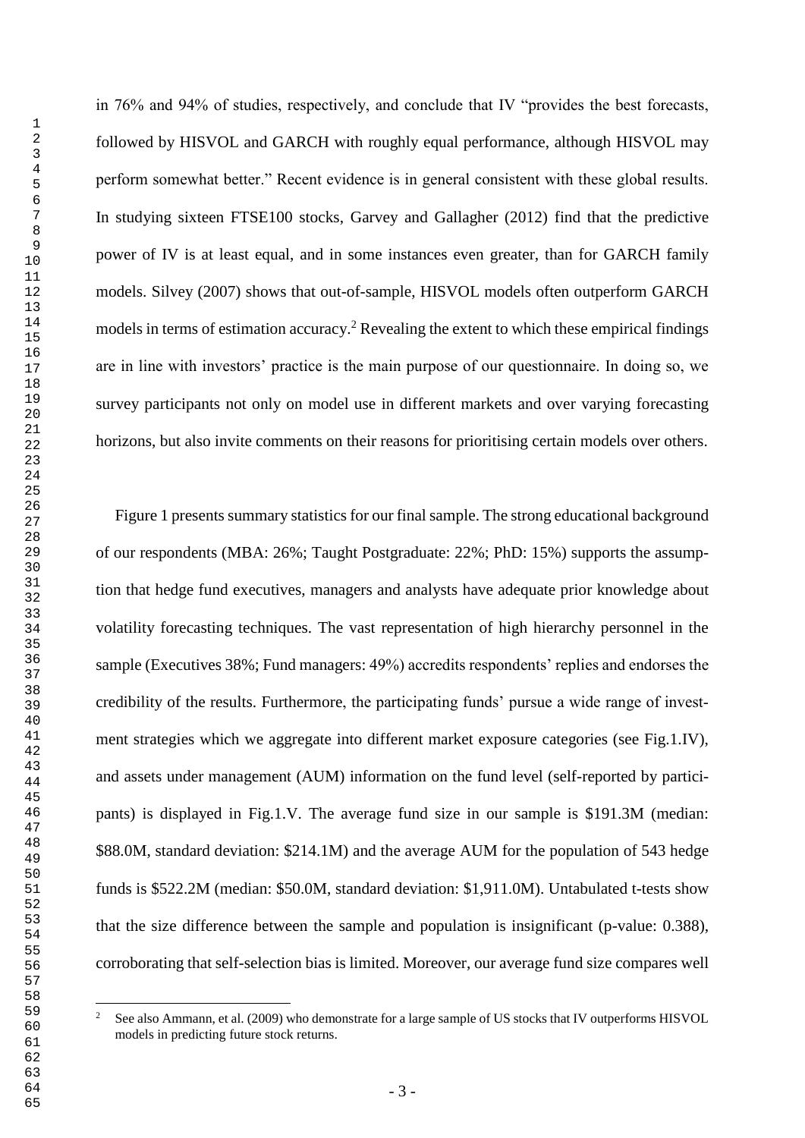in 76% and 94% of studies, respectively, and conclude that IV "provides the best forecasts, followed by HISVOL and GARCH with roughly equal performance, although HISVOL may perform somewhat better." Recent evidence is in general consistent with these global results. In studying sixteen FTSE100 stocks, Garvey and Gallagher (2012) find that the predictive power of IV is at least equal, and in some instances even greater, than for GARCH family models. Silvey (2007) shows that out-of-sample, HISVOL models often outperform GARCH models in terms of estimation accuracy.<sup>2</sup> Revealing the extent to which these empirical findings are in line with investors' practice is the main purpose of our questionnaire. In doing so, we survey participants not only on model use in different markets and over varying forecasting horizons, but also invite comments on their reasons for prioritising certain models over others.

Figure 1 presents summary statistics for our final sample. The strong educational background of our respondents (MBA: 26%; Taught Postgraduate: 22%; PhD: 15%) supports the assumption that hedge fund executives, managers and analysts have adequate prior knowledge about volatility forecasting techniques. The vast representation of high hierarchy personnel in the sample (Executives 38%; Fund managers: 49%) accredits respondents' replies and endorses the credibility of the results. Furthermore, the participating funds' pursue a wide range of investment strategies which we aggregate into different market exposure categories (see Fig.1.IV), and assets under management (AUM) information on the fund level (self-reported by participants) is displayed in Fig.1.V. The average fund size in our sample is \$191.3M (median: \$88.0M, standard deviation: \$214.1M) and the average AUM for the population of 543 hedge funds is \$522.2M (median: \$50.0M, standard deviation: \$1,911.0M). Untabulated t-tests show that the size difference between the sample and population is insignificant (p-value: 0.388), corroborating that self-selection bias is limited. Moreover, our average fund size compares well

 $\overline{c}$  See also Ammann, et al. (2009) who demonstrate for a large sample of US stocks that IV outperforms HISVOL models in predicting future stock returns.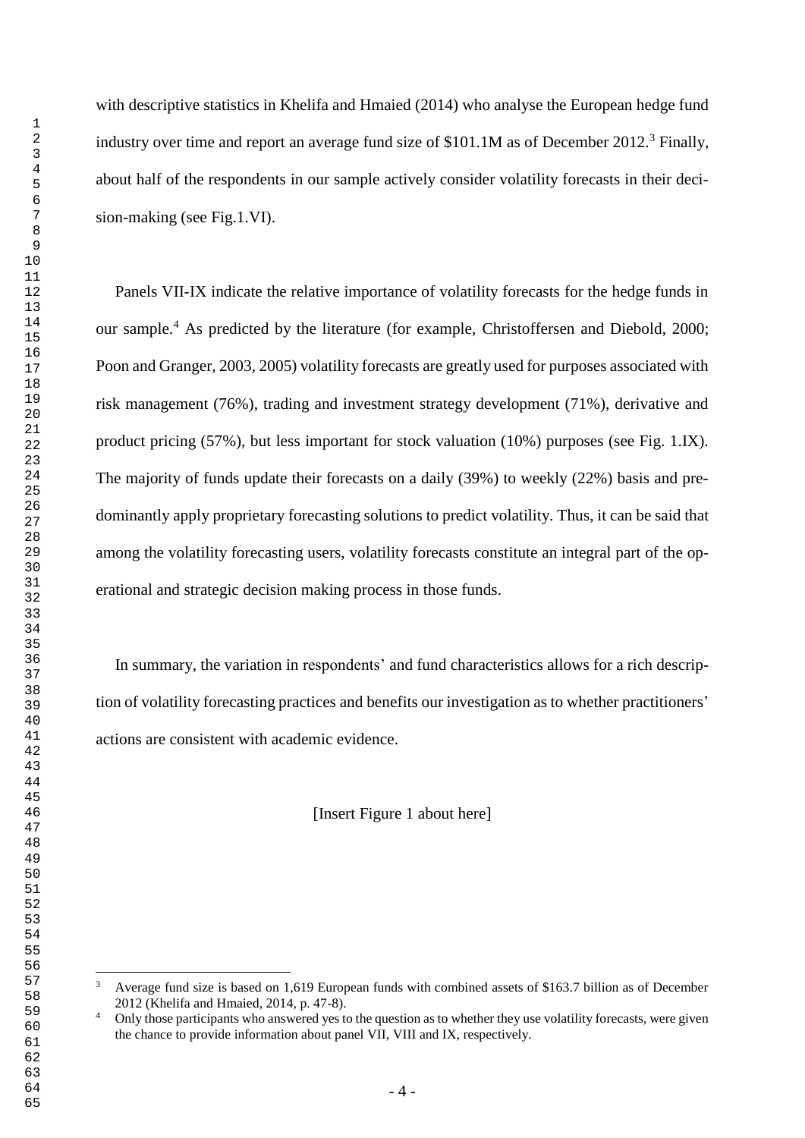$\overline{a}$ 

with descriptive statistics in Khelifa and Hmaied (2014) who analyse the European hedge fund industry over time and report an average fund size of  $$101.1M$  as of December 2012.<sup>3</sup> Finally, about half of the respondents in our sample actively consider volatility forecasts in their decision-making (see Fig.1.VI).

Panels VII-IX indicate the relative importance of volatility forecasts for the hedge funds in our sample.<sup>4</sup> As predicted by the literature (for example, Christoffersen and Diebold, 2000; Poon and Granger, 2003, 2005) volatility forecasts are greatly used for purposes associated with risk management (76%), trading and investment strategy development (71%), derivative and product pricing (57%), but less important for stock valuation (10%) purposes (see Fig. 1.IX). The majority of funds update their forecasts on a daily (39%) to weekly (22%) basis and predominantly apply proprietary forecasting solutions to predict volatility. Thus, it can be said that among the volatility forecasting users, volatility forecasts constitute an integral part of the operational and strategic decision making process in those funds.

In summary, the variation in respondents' and fund characteristics allows for a rich description of volatility forecasting practices and benefits our investigation as to whether practitioners' actions are consistent with academic evidence.

[Insert Figure 1 about here]

<sup>&</sup>lt;sup>3</sup> Average fund size is based on 1,619 European funds with combined assets of \$163.7 billion as of December 2012 (Khelifa and Hmaied, 2014, p. 47-8).

<sup>&</sup>lt;sup>4</sup> Only those participants who answered yes to the question as to whether they use volatility forecasts, were given the chance to provide information about panel VII, VIII and IX, respectively.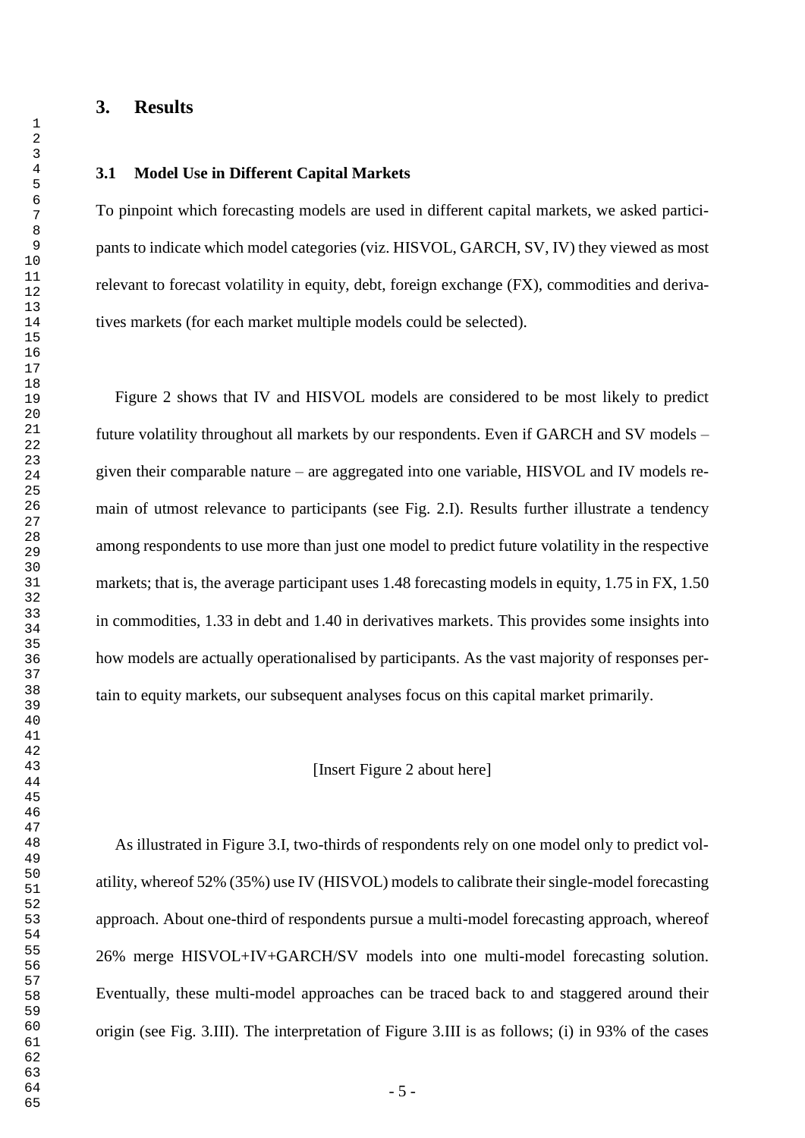# **3. Results**

## **3.1 Model Use in Different Capital Markets**

To pinpoint which forecasting models are used in different capital markets, we asked participants to indicate which model categories (viz. HISVOL, GARCH, SV, IV) they viewed as most relevant to forecast volatility in equity, debt, foreign exchange (FX), commodities and derivatives markets (for each market multiple models could be selected).

Figure 2 shows that IV and HISVOL models are considered to be most likely to predict future volatility throughout all markets by our respondents. Even if GARCH and SV models – given their comparable nature – are aggregated into one variable, HISVOL and IV models remain of utmost relevance to participants (see Fig. 2.I). Results further illustrate a tendency among respondents to use more than just one model to predict future volatility in the respective markets; that is, the average participant uses 1.48 forecasting models in equity, 1.75 in FX, 1.50 in commodities, 1.33 in debt and 1.40 in derivatives markets. This provides some insights into how models are actually operationalised by participants. As the vast majority of responses pertain to equity markets, our subsequent analyses focus on this capital market primarily.

#### [Insert Figure 2 about here]

As illustrated in Figure 3.I, two-thirds of respondents rely on one model only to predict volatility, whereof 52% (35%) use IV (HISVOL) models to calibrate their single-model forecasting approach. About one-third of respondents pursue a multi-model forecasting approach, whereof 26% merge HISVOL+IV+GARCH/SV models into one multi-model forecasting solution. Eventually, these multi-model approaches can be traced back to and staggered around their origin (see Fig. 3.III). The interpretation of Figure 3.III is as follows; (i) in 93% of the cases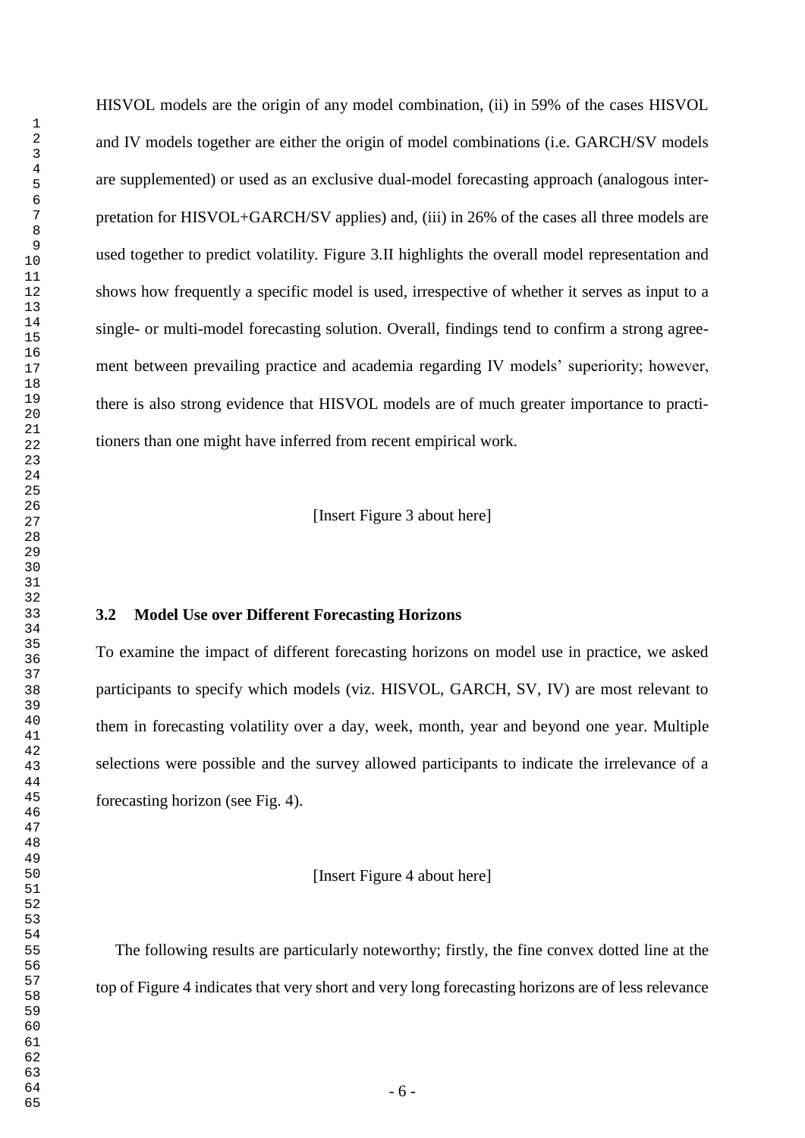HISVOL models are the origin of any model combination, (ii) in 59% of the cases HISVOL and IV models together are either the origin of model combinations (i.e. GARCH/SV models are supplemented) or used as an exclusive dual-model forecasting approach (analogous interpretation for HISVOL+GARCH/SV applies) and, (iii) in 26% of the cases all three models are used together to predict volatility. Figure 3.II highlights the overall model representation and shows how frequently a specific model is used, irrespective of whether it serves as input to a single- or multi-model forecasting solution. Overall, findings tend to confirm a strong agreement between prevailing practice and academia regarding IV models' superiority; however, there is also strong evidence that HISVOL models are of much greater importance to practitioners than one might have inferred from recent empirical work.

[Insert Figure 3 about here]

## **3.2 Model Use over Different Forecasting Horizons**

To examine the impact of different forecasting horizons on model use in practice, we asked participants to specify which models (viz. HISVOL, GARCH, SV, IV) are most relevant to them in forecasting volatility over a day, week, month, year and beyond one year. Multiple selections were possible and the survey allowed participants to indicate the irrelevance of a forecasting horizon (see Fig. 4).

[Insert Figure 4 about here]

The following results are particularly noteworthy; firstly, the fine convex dotted line at the top of Figure 4 indicates that very short and very long forecasting horizons are of less relevance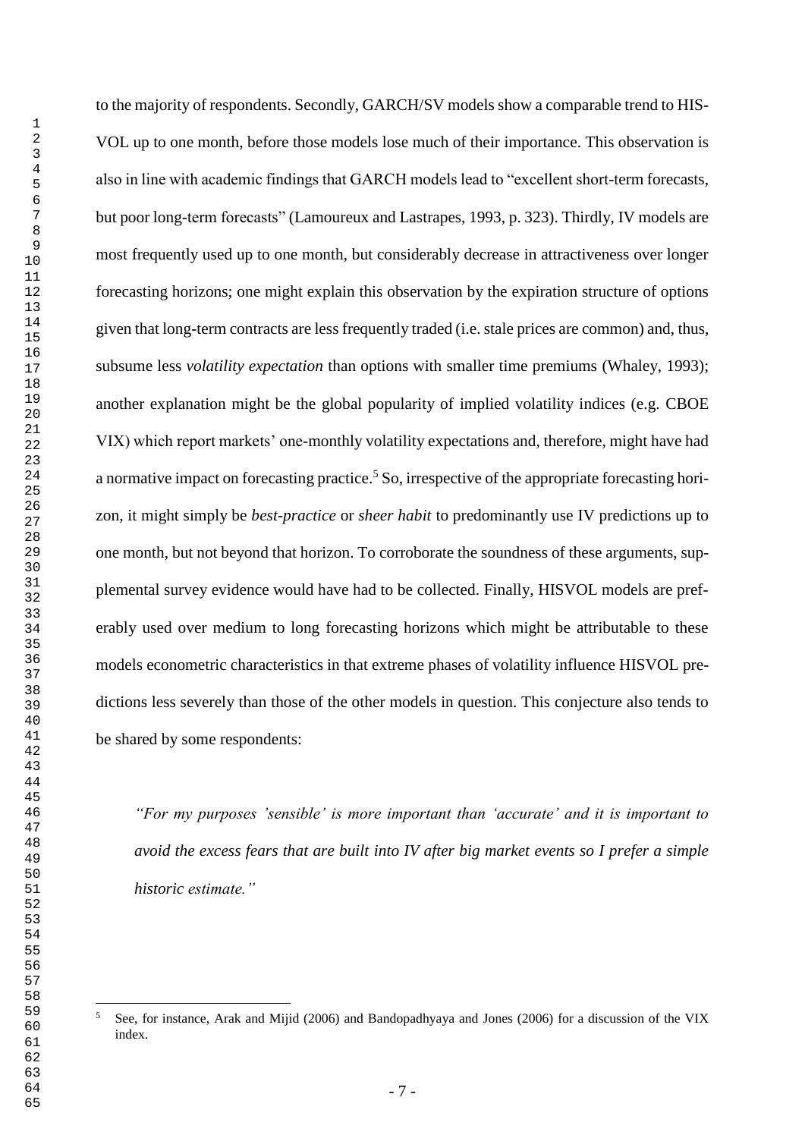$\overline{a}$ 

to the majority of respondents. Secondly, GARCH/SV models show a comparable trend to HIS-VOL up to one month, before those models lose much of their importance. This observation is also in line with academic findings that GARCH models lead to "excellent short-term forecasts, but poor long-term forecasts" (Lamoureux and Lastrapes, 1993, p. 323). Thirdly, IV models are most frequently used up to one month, but considerably decrease in attractiveness over longer forecasting horizons; one might explain this observation by the expiration structure of options given that long-term contracts are less frequently traded (i.e. stale prices are common) and, thus, subsume less *volatility expectation* than options with smaller time premiums (Whaley, 1993); another explanation might be the global popularity of implied volatility indices (e.g. CBOE VIX) which report markets' one-monthly volatility expectations and, therefore, might have had a normative impact on forecasting practice.<sup>5</sup> So, irrespective of the appropriate forecasting horizon, it might simply be *best-practice* or *sheer habit* to predominantly use IV predictions up to one month, but not beyond that horizon. To corroborate the soundness of these arguments, supplemental survey evidence would have had to be collected. Finally, HISVOL models are preferably used over medium to long forecasting horizons which might be attributable to these models econometric characteristics in that extreme phases of volatility influence HISVOL predictions less severely than those of the other models in question. This conjecture also tends to be shared by some respondents:

*"For my purposes 'sensible' is more important than 'accurate' and it is important to avoid the excess fears that are built into IV after big market events so I prefer a simple historic estimate."* 

 See, for instance, Arak and Mijid (2006) and Bandopadhyaya and Jones (2006) for a discussion of the VIX index.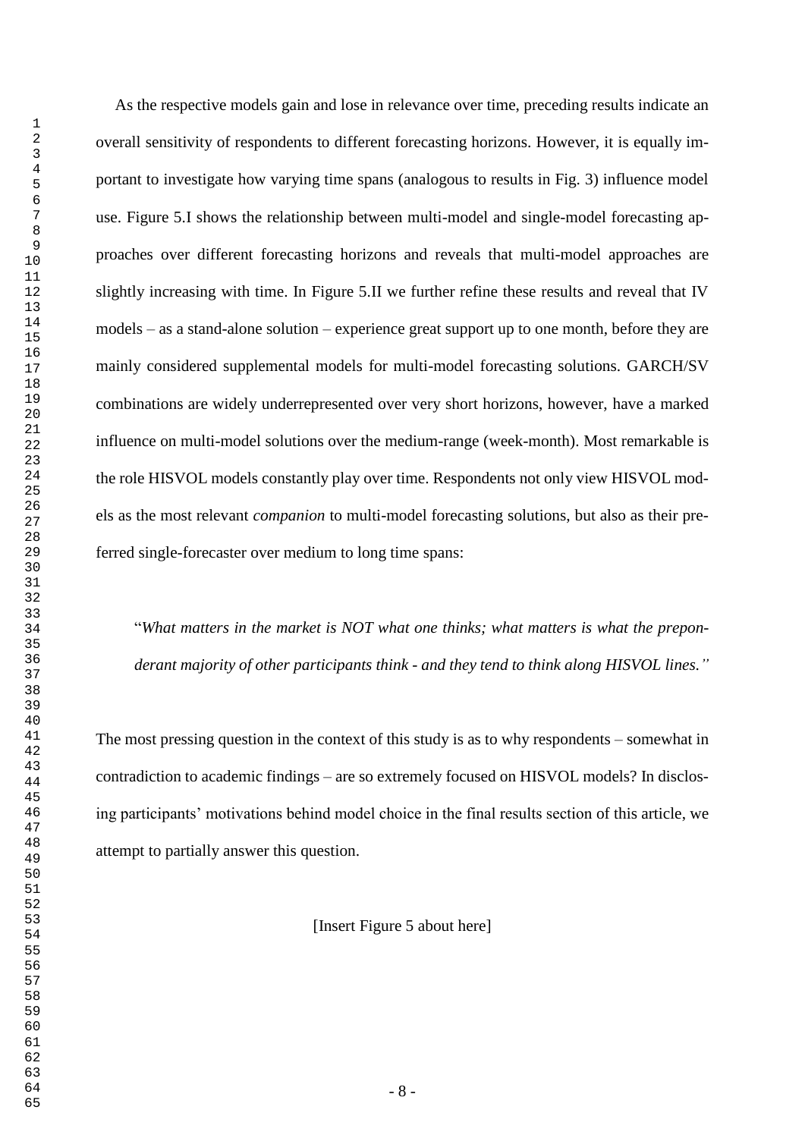As the respective models gain and lose in relevance over time, preceding results indicate an overall sensitivity of respondents to different forecasting horizons. However, it is equally important to investigate how varying time spans (analogous to results in Fig. 3) influence model use. Figure 5.I shows the relationship between multi-model and single-model forecasting approaches over different forecasting horizons and reveals that multi-model approaches are slightly increasing with time. In Figure 5.II we further refine these results and reveal that IV models – as a stand-alone solution – experience great support up to one month, before they are mainly considered supplemental models for multi-model forecasting solutions. GARCH/SV combinations are widely underrepresented over very short horizons, however, have a marked influence on multi-model solutions over the medium-range (week-month). Most remarkable is the role HISVOL models constantly play over time. Respondents not only view HISVOL models as the most relevant *companion* to multi-model forecasting solutions, but also as their preferred single-forecaster over medium to long time spans:

"*What matters in the market is NOT what one thinks; what matters is what the preponderant majority of other participants think - and they tend to think along HISVOL lines."* 

The most pressing question in the context of this study is as to why respondents – somewhat in contradiction to academic findings – are so extremely focused on HISVOL models? In disclosing participants' motivations behind model choice in the final results section of this article, we attempt to partially answer this question.

[Insert Figure 5 about here]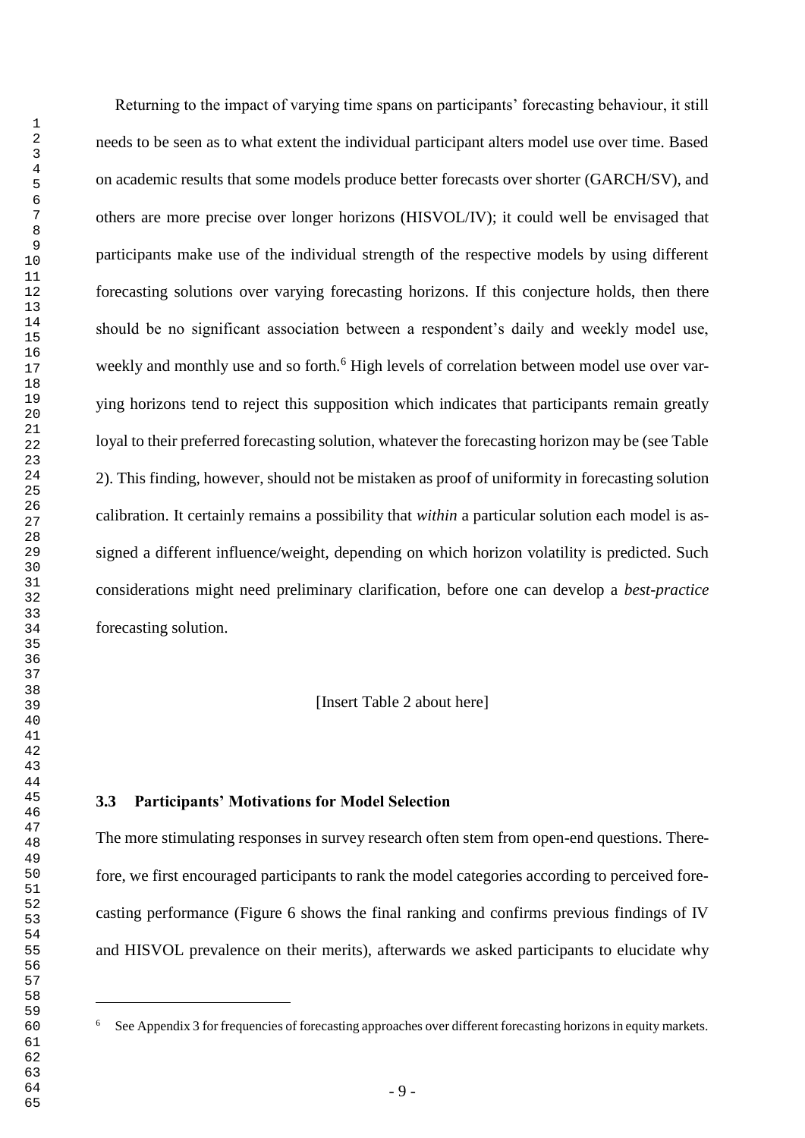$\overline{a}$ 

Returning to the impact of varying time spans on participants' forecasting behaviour, it still needs to be seen as to what extent the individual participant alters model use over time. Based on academic results that some models produce better forecasts over shorter (GARCH/SV), and others are more precise over longer horizons (HISVOL/IV); it could well be envisaged that participants make use of the individual strength of the respective models by using different forecasting solutions over varying forecasting horizons. If this conjecture holds, then there should be no significant association between a respondent's daily and weekly model use, weekly and monthly use and so forth.<sup>6</sup> High levels of correlation between model use over varying horizons tend to reject this supposition which indicates that participants remain greatly loyal to their preferred forecasting solution, whatever the forecasting horizon may be (see Table 2). This finding, however, should not be mistaken as proof of uniformity in forecasting solution calibration. It certainly remains a possibility that *within* a particular solution each model is assigned a different influence/weight, depending on which horizon volatility is predicted. Such considerations might need preliminary clarification, before one can develop a *best-practice* forecasting solution.

[Insert Table 2 about here]

### **3.3 Participants' Motivations for Model Selection**

The more stimulating responses in survey research often stem from open-end questions. Therefore, we first encouraged participants to rank the model categories according to perceived forecasting performance (Figure 6 shows the final ranking and confirms previous findings of IV and HISVOL prevalence on their merits), afterwards we asked participants to elucidate why

See Appendix 3 for frequencies of forecasting approaches over different forecasting horizons in equity markets.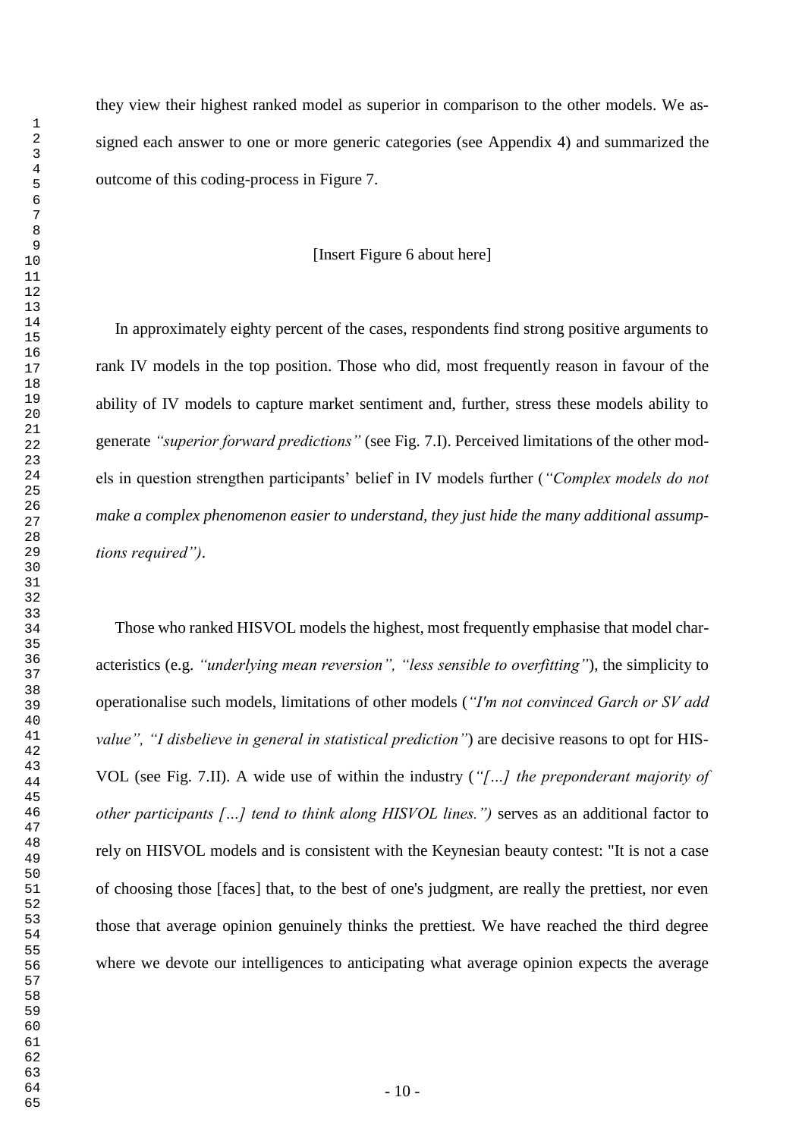they view their highest ranked model as superior in comparison to the other models. We assigned each answer to one or more generic categories (see Appendix 4) and summarized the outcome of this coding-process in Figure 7.

#### [Insert Figure 6 about here]

In approximately eighty percent of the cases, respondents find strong positive arguments to rank IV models in the top position. Those who did, most frequently reason in favour of the ability of IV models to capture market sentiment and, further, stress these models ability to generate *"superior forward predictions"* (see Fig. 7.I). Perceived limitations of the other models in question strengthen participants' belief in IV models further (*"Complex models do not make a complex phenomenon easier to understand, they just hide the many additional assumptions required")*.

Those who ranked HISVOL models the highest, most frequently emphasise that model characteristics (e.g. *"underlying mean reversion", "less sensible to overfitting"*), the simplicity to operationalise such models, limitations of other models (*"I'm not convinced Garch or SV add value", "I disbelieve in general in statistical prediction"*) are decisive reasons to opt for HIS-VOL (see Fig. 7.II). A wide use of within the industry (*"[…] the preponderant majority of other participants […] tend to think along HISVOL lines.")* serves as an additional factor to rely on HISVOL models and is consistent with the Keynesian beauty contest: "It is not a case of choosing those [faces] that, to the best of one's judgment, are really the prettiest, nor even those that average opinion genuinely thinks the prettiest. We have reached the third degree where we devote our intelligences to anticipating what average opinion expects the average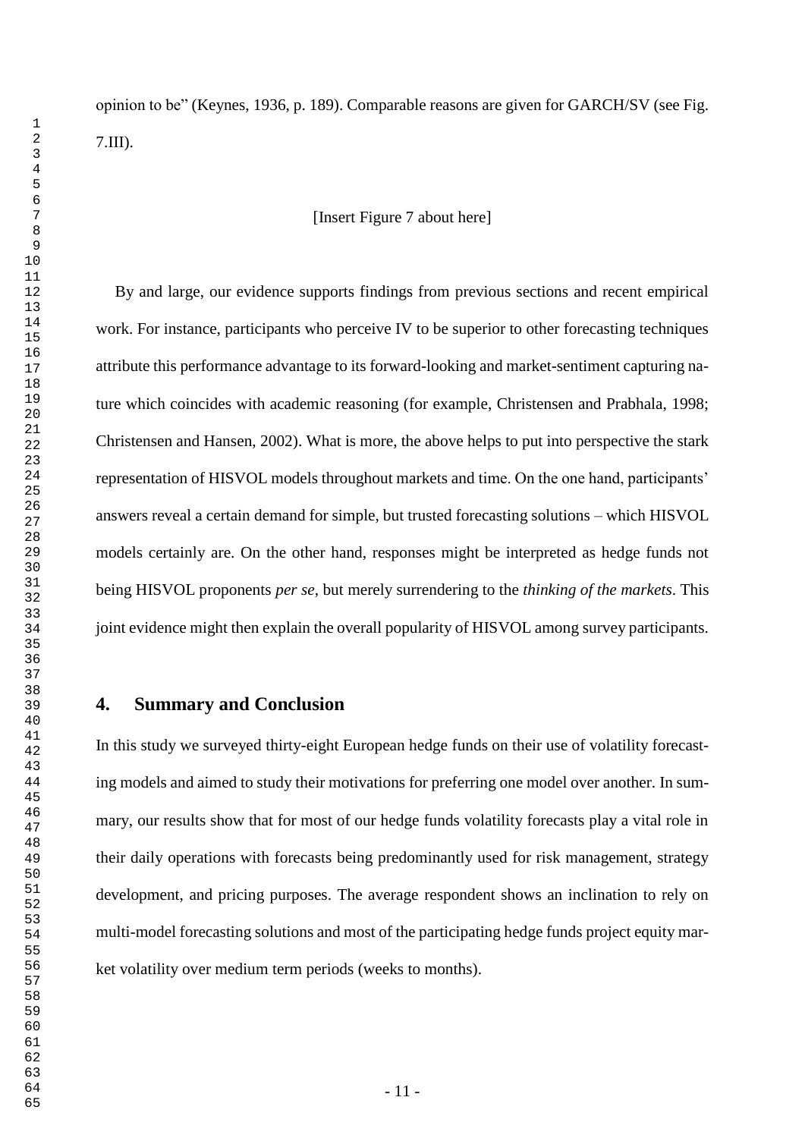# [Insert Figure 7 about here]

By and large, our evidence supports findings from previous sections and recent empirical work. For instance, participants who perceive IV to be superior to other forecasting techniques attribute this performance advantage to its forward-looking and market-sentiment capturing nature which coincides with academic reasoning (for example, Christensen and Prabhala, 1998; Christensen and Hansen, 2002). What is more, the above helps to put into perspective the stark representation of HISVOL models throughout markets and time. On the one hand, participants' answers reveal a certain demand for simple, but trusted forecasting solutions – which HISVOL models certainly are. On the other hand, responses might be interpreted as hedge funds not being HISVOL proponents *per se*, but merely surrendering to the *thinking of the markets*. This joint evidence might then explain the overall popularity of HISVOL among survey participants.

# **4. Summary and Conclusion**

In this study we surveyed thirty-eight European hedge funds on their use of volatility forecasting models and aimed to study their motivations for preferring one model over another. In summary, our results show that for most of our hedge funds volatility forecasts play a vital role in their daily operations with forecasts being predominantly used for risk management, strategy development, and pricing purposes. The average respondent shows an inclination to rely on multi-model forecasting solutions and most of the participating hedge funds project equity market volatility over medium term periods (weeks to months).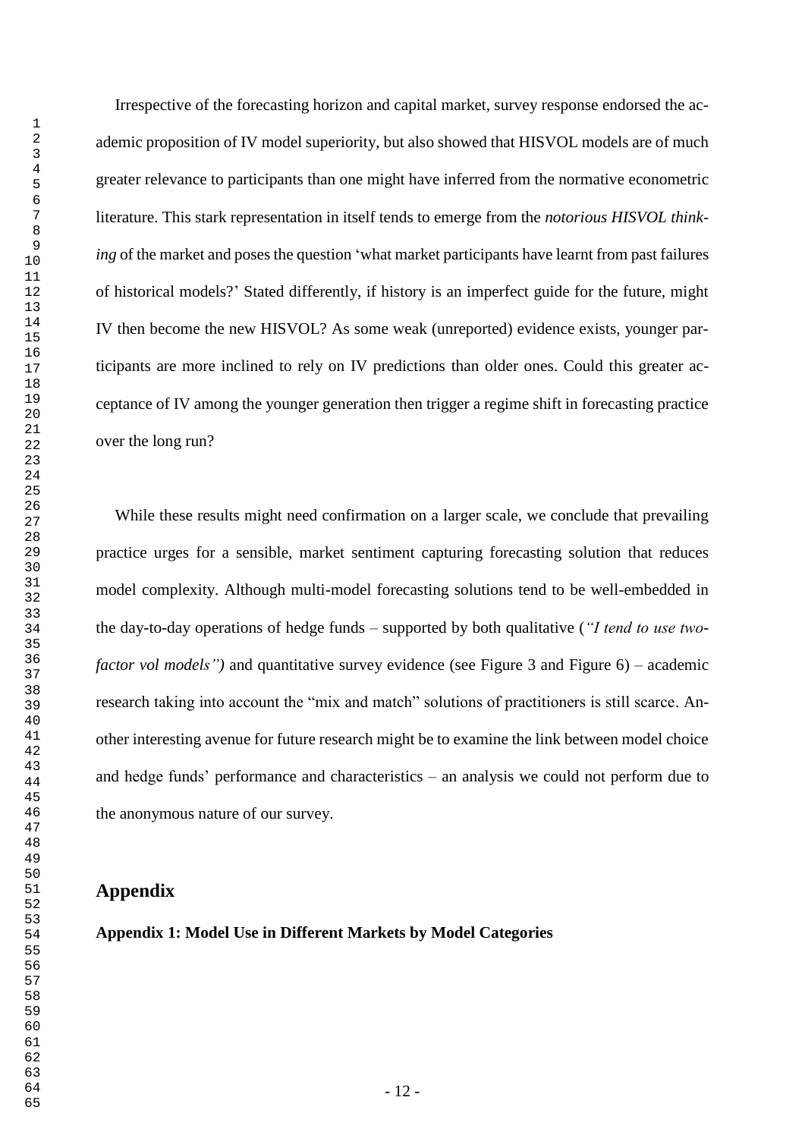Irrespective of the forecasting horizon and capital market, survey response endorsed the academic proposition of IV model superiority, but also showed that HISVOL models are of much greater relevance to participants than one might have inferred from the normative econometric literature. This stark representation in itself tends to emerge from the *notorious HISVOL thinking* of the market and poses the question 'what market participants have learnt from past failures of historical models?' Stated differently, if history is an imperfect guide for the future, might IV then become the new HISVOL? As some weak (unreported) evidence exists, younger participants are more inclined to rely on IV predictions than older ones. Could this greater acceptance of IV among the younger generation then trigger a regime shift in forecasting practice over the long run?

While these results might need confirmation on a larger scale, we conclude that prevailing practice urges for a sensible, market sentiment capturing forecasting solution that reduces model complexity. Although multi-model forecasting solutions tend to be well-embedded in the day-to-day operations of hedge funds – supported by both qualitative (*"I tend to use twofactor vol models"*) and quantitative survey evidence (see Figure 3 and Figure 6) – academic research taking into account the "mix and match" solutions of practitioners is still scarce. Another interesting avenue for future research might be to examine the link between model choice and hedge funds' performance and characteristics – an analysis we could not perform due to the anonymous nature of our survey.

# **Appendix**

**Appendix 1: Model Use in Different Markets by Model Categories**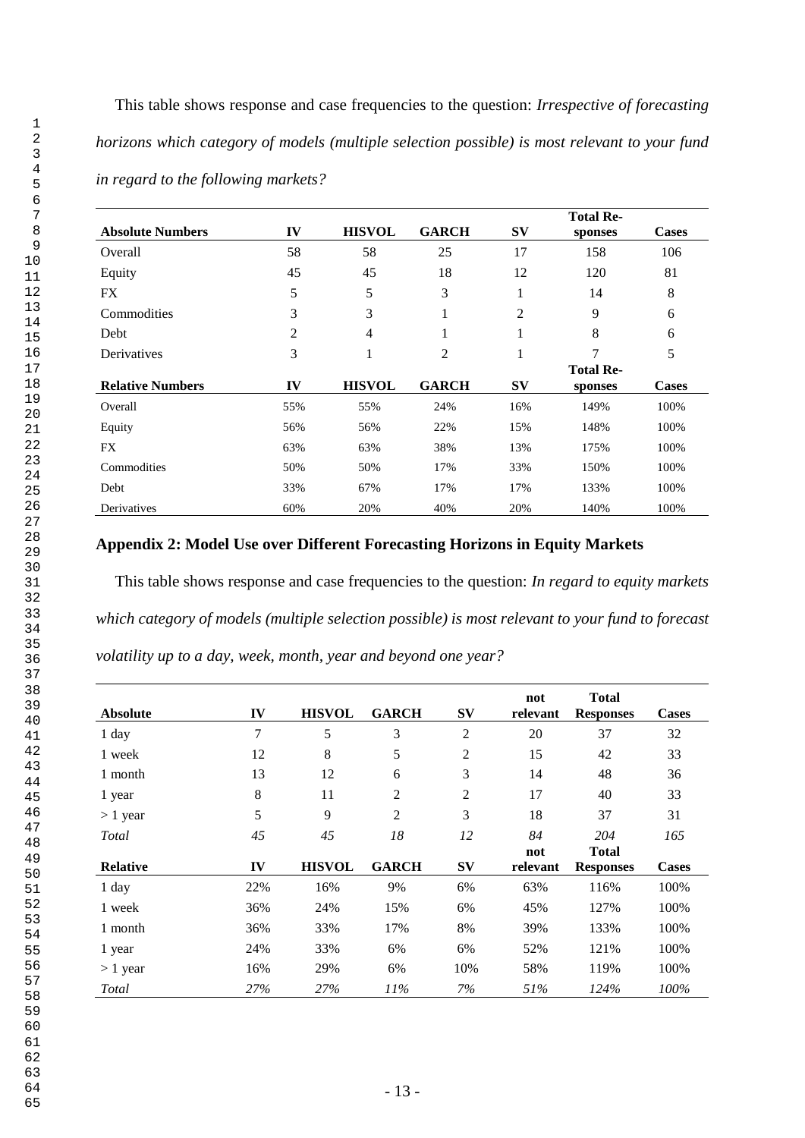This table shows response and case frequencies to the question: *Irrespective of forecasting horizons which category of models (multiple selection possible) is most relevant to your fund in regard to the following markets?*

|                         |     |               |              |                | <b>Total Re-</b> |              |
|-------------------------|-----|---------------|--------------|----------------|------------------|--------------|
| <b>Absolute Numbers</b> | IV  | <b>HISVOL</b> | <b>GARCH</b> | $S_{\rm V}$    | sponses          | <b>Cases</b> |
| Overall                 | 58  | 58            | 25           | 17             | 158              | 106          |
| Equity                  | 45  | 45            | 18           | 12             | 120              | 81           |
| <b>FX</b>               | 5   | 5             | 3            | 1              | 14               | 8            |
| Commodities             | 3   | 3             | 1            | $\overline{2}$ | 9                | 6            |
| Debt                    | 2   | 4             | 1            | 1              | 8                | 6            |
| Derivatives             | 3   | 1             | 2            | 1              | 7                | 5            |
|                         |     |               |              |                | <b>Total Re-</b> |              |
| <b>Relative Numbers</b> | IV  | <b>HISVOL</b> | <b>GARCH</b> | <b>SV</b>      | sponses          | <b>Cases</b> |
| Overall                 | 55% | 55%           | 24%          | 16%            | 149%             | 100%         |
| Equity                  | 56% | 56%           | 22%          | 15%            | 148%             | 100%         |
| <b>FX</b>               | 63% | 63%           | 38%          | 13%            | 175%             | 100%         |
| Commodities             | 50% | 50%           | 17%          | 33%            | 150%             | 100%         |
| Debt                    | 33% | 67%           | 17%          | 17%            | 133%             | 100%         |
| Derivatives             | 60% | 20%           | 40%          | 20%            | 140%             | 100%         |

# **Appendix 2: Model Use over Different Forecasting Horizons in Equity Markets**

This table shows response and case frequencies to the question: *In regard to equity markets which category of models (multiple selection possible) is most relevant to your fund to forecast volatility up to a day, week, month, year and beyond one year?*

| <b>Absolute</b> | IV  | <b>HISVOL</b> | <b>GARCH</b>   | $S_{\rm V}$    | not<br>relevant | <b>Total</b><br><b>Responses</b> | <b>Cases</b> |
|-----------------|-----|---------------|----------------|----------------|-----------------|----------------------------------|--------------|
| 1 day           | 7   | 5             | 3              | $\overline{c}$ | 20              | 37                               | 32           |
| 1 week          | 12  | 8             | 5              | 2              | 15              | 42                               | 33           |
| 1 month         | 13  | 12            | 6              | 3              | 14              | 48                               | 36           |
| 1 year          | 8   | 11            | 2              | 2              | 17              | 40                               | 33           |
| $> 1$ year      | 5   | 9             | $\overline{2}$ | 3              | 18              | 37                               | 31           |
| Total           | 45  | 45            | 18             | 12             | 84              | 204                              | 165          |
| <b>Relative</b> |     | <b>HISVOL</b> | <b>GARCH</b>   |                | not             | <b>Total</b>                     |              |
|                 | IV  |               |                | <b>SV</b>      | relevant        | <b>Responses</b>                 | <b>Cases</b> |
| 1 day           | 22% | 16%           | 9%             | 6%             | 63%             | 116%                             | 100%         |
| 1 week          | 36% | 24%           | 15%            | 6%             | 45%             | 127%                             | 100%         |
| 1 month         | 36% | 33%           | 17%            | 8%             | 39%             | 133%                             | 100%         |
| 1 year          | 24% | 33%           | 6%             | 6%             | 52%             | 121%                             | 100%         |
| $> 1$ year      | 16% | 29%           | 6%             | 10%            | 58%             | 119%                             | 100%         |
| Total           | 27% | 27%           | 11%            | 7%             | 51%             | 124%                             | 100%         |

 1 2 3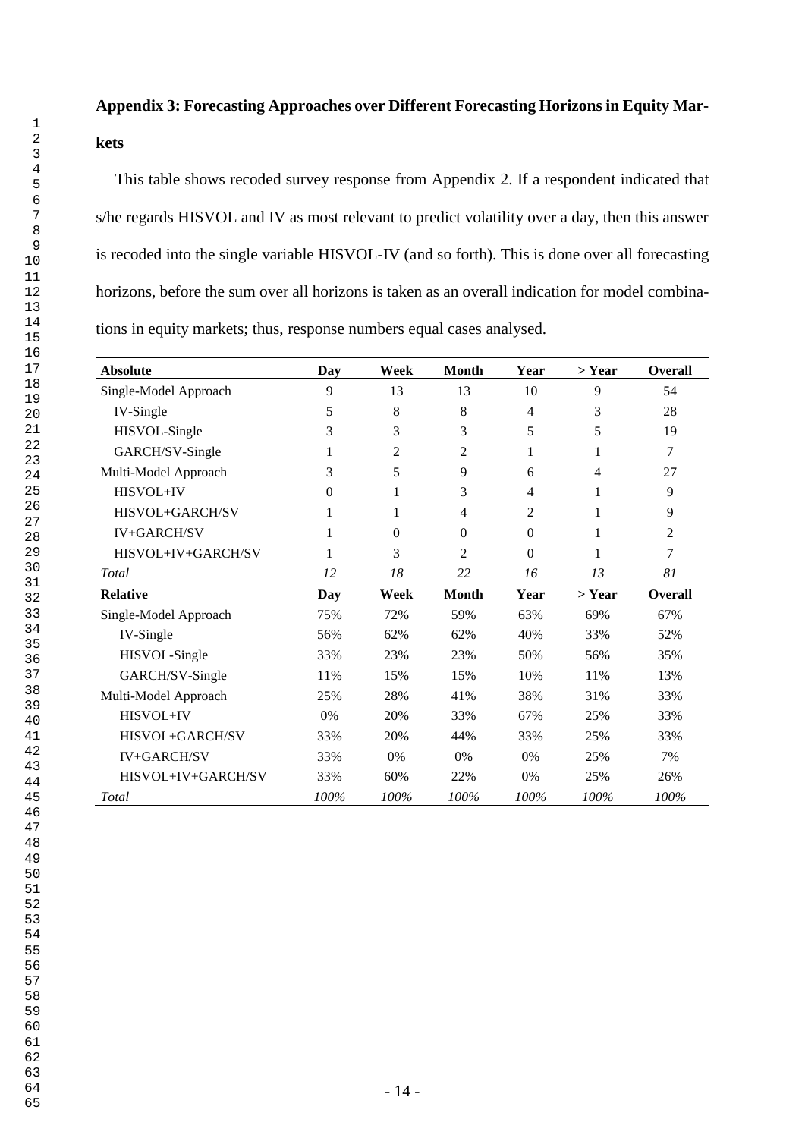# **Appendix 3: Forecasting Approaches over Different Forecasting Horizons in Equity Mar-**

# **kets**

This table shows recoded survey response from Appendix 2. If a respondent indicated that s/he regards HISVOL and IV as most relevant to predict volatility over a day, then this answer is recoded into the single variable HISVOL-IV (and so forth). This is done over all forecasting horizons, before the sum over all horizons is taken as an overall indication for model combinations in equity markets; thus, response numbers equal cases analysed*.*

| <b>Absolute</b>       | <b>Day</b> | Week     | <b>Month</b>   | Year           | > Year         | <b>Overall</b> |
|-----------------------|------------|----------|----------------|----------------|----------------|----------------|
| Single-Model Approach | 9          | 13       | 13             | 10             | 9              | 54             |
| IV-Single             | 5          | 8        | 8              | $\overline{4}$ | 3              | 28             |
| HISVOL-Single         | 3          | 3        | 3              | 5              | 5              | 19             |
| GARCH/SV-Single       | 1          | 2        | $\overline{c}$ | 1              | 1              | 7              |
| Multi-Model Approach  | 3          | 5        | 9              | 6              | $\overline{4}$ | 27             |
| HISVOL+IV             | $\theta$   |          | 3              | 4              | 1              | 9              |
| HISVOL+GARCH/SV       | 1          | 1        | $\overline{4}$ | 2              | 1              | 9              |
| <b>IV+GARCH/SV</b>    | 1          | $\Omega$ | $\Omega$       | $\mathbf{0}$   | 1              | 2              |
| HISVOL+IV+GARCH/SV    | 1          | 3        | $\overline{2}$ | $\overline{0}$ | 1              | 7              |
| Total                 | 12         | 18       | 22             | 16             | 13             | 81             |
| <b>Relative</b>       | Day        | Week     | <b>Month</b>   | Year           | > Year         | <b>Overall</b> |
| Single-Model Approach | 75%        | 72%      | 59%            | 63%            | 69%            | 67%            |
| IV-Single             | 56%        | 62%      | 62%            | 40%            | 33%            | 52%            |
| HISVOL-Single         | 33%        | 23%      | 23%            | 50%            | 56%            | 35%            |
| GARCH/SV-Single       | 11%        | 15%      | 15%            | 10%            | 11%            | 13%            |
| Multi-Model Approach  | 25%        | 28%      | 41%            | 38%            | 31%            | 33%            |
| HISVOL+IV             | 0%         | 20%      | 33%            | 67%            | 25%            | 33%            |
| HISVOL+GARCH/SV       | 33%        | 20%      | 44%            | 33%            | 25%            | 33%            |
| <b>IV+GARCH/SV</b>    | 33%        | 0%       | 0%             | 0%             | 25%            | 7%             |
| HISVOL+IV+GARCH/SV    | 33%        | 60%      | 22%            | 0%             | 25%            | 26%            |
| Total                 | 100%       | 100%     | 100%           | 100%           | 100%           | 100%           |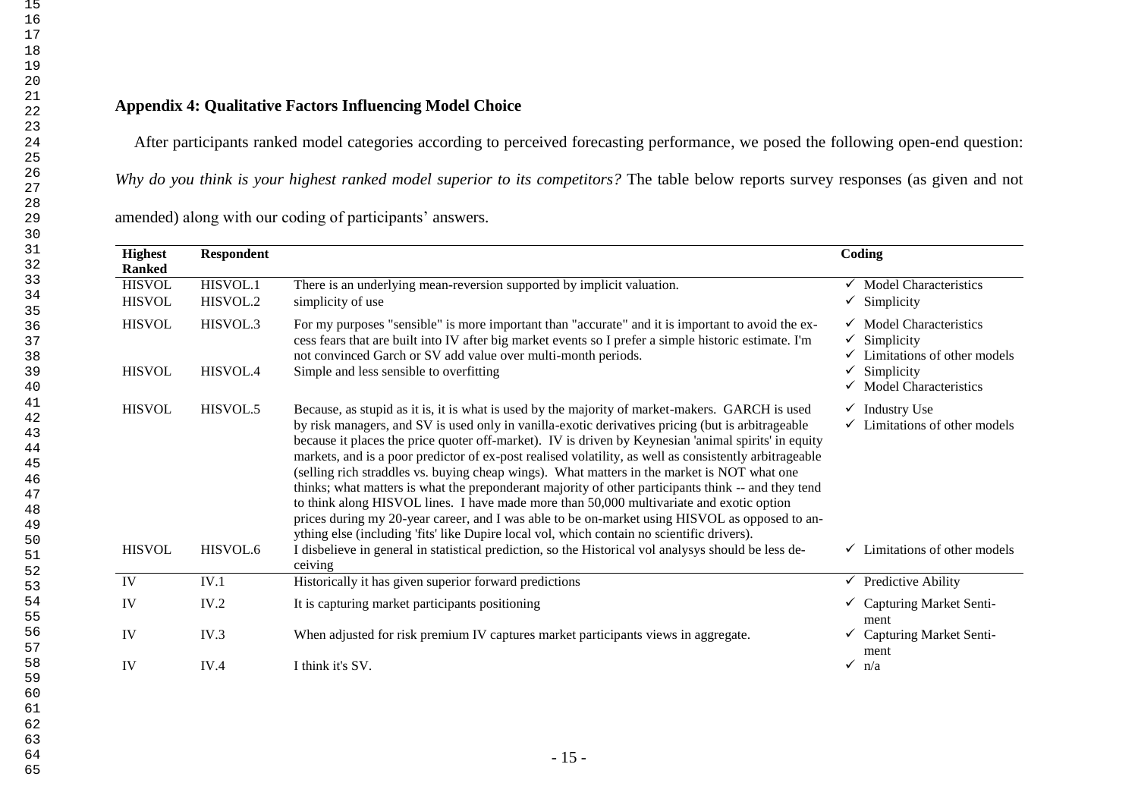# **Appendix 4: Qualitative Factors Influencing Model Choice**

After participants ranked model categories according to perceived forecasting performance, we posed the following open-end question:

*Why do you think is your highest ranked model superior to its competitors?* The table below reports survey responses (as given and not

amended) along with our coding of participants' answers.

| <b>Highest</b><br><b>Ranked</b> | <b>Respondent</b>    |                                                                                                                                                                                                                                                                                                                                                                                                                                                                                                                                                                                                                                                                                                                                                                                                                                                                                                                                                                                                                                  | Coding                                                                                                                                   |
|---------------------------------|----------------------|----------------------------------------------------------------------------------------------------------------------------------------------------------------------------------------------------------------------------------------------------------------------------------------------------------------------------------------------------------------------------------------------------------------------------------------------------------------------------------------------------------------------------------------------------------------------------------------------------------------------------------------------------------------------------------------------------------------------------------------------------------------------------------------------------------------------------------------------------------------------------------------------------------------------------------------------------------------------------------------------------------------------------------|------------------------------------------------------------------------------------------------------------------------------------------|
| <b>HISVOL</b><br><b>HISVOL</b>  | HISVOL.1<br>HISVOL.2 | There is an underlying mean-reversion supported by implicit valuation.<br>simplicity of use                                                                                                                                                                                                                                                                                                                                                                                                                                                                                                                                                                                                                                                                                                                                                                                                                                                                                                                                      | $\checkmark$ Model Characteristics<br>$\checkmark$ Simplicity                                                                            |
| <b>HISVOL</b><br><b>HISVOL</b>  | HISVOL.3<br>HISVOL.4 | For my purposes "sensible" is more important than "accurate" and it is important to avoid the ex-<br>cess fears that are built into IV after big market events so I prefer a simple historic estimate. I'm<br>not convinced Garch or SV add value over multi-month periods.<br>Simple and less sensible to overfitting                                                                                                                                                                                                                                                                                                                                                                                                                                                                                                                                                                                                                                                                                                           | $\checkmark$ Model Characteristics<br>Simplicity<br>✓<br>Limitations of other models<br>Simplicity<br>$\checkmark$ Model Characteristics |
| <b>HISVOL</b><br><b>HISVOL</b>  | HISVOL.5<br>HISVOL.6 | Because, as stupid as it is, it is what is used by the majority of market-makers. GARCH is used<br>by risk managers, and SV is used only in vanilla-exotic derivatives pricing (but is arbitrageable<br>because it places the price quoter off-market). IV is driven by Keynesian 'animal spirits' in equity<br>markets, and is a poor predictor of ex-post realised volatility, as well as consistently arbitrageable<br>(selling rich straddles vs. buying cheap wings). What matters in the market is NOT what one<br>thinks; what matters is what the preponderant majority of other participants think -- and they tend<br>to think along HISVOL lines. I have made more than 50,000 multivariate and exotic option<br>prices during my 20-year career, and I was able to be on-market using HISVOL as opposed to an-<br>ything else (including 'fits' like Dupire local vol, which contain no scientific drivers).<br>I disbelieve in general in statistical prediction, so the Historical vol analysys should be less de- | $\checkmark$ Industry Use<br>Limitations of other models<br>✓<br>$\checkmark$ Limitations of other models                                |
| IV                              | IV.1                 | ceiving<br>Historically it has given superior forward predictions                                                                                                                                                                                                                                                                                                                                                                                                                                                                                                                                                                                                                                                                                                                                                                                                                                                                                                                                                                | $\checkmark$ Predictive Ability                                                                                                          |
| IV                              | IV.2                 | It is capturing market participants positioning                                                                                                                                                                                                                                                                                                                                                                                                                                                                                                                                                                                                                                                                                                                                                                                                                                                                                                                                                                                  | $\checkmark$ Capturing Market Senti-<br>ment                                                                                             |
| IV                              | IV.3                 | When adjusted for risk premium IV captures market participants views in aggregate.                                                                                                                                                                                                                                                                                                                                                                                                                                                                                                                                                                                                                                                                                                                                                                                                                                                                                                                                               | $\checkmark$ Capturing Market Senti-<br>ment                                                                                             |
|                                 | IV.4                 | I think it's SV.                                                                                                                                                                                                                                                                                                                                                                                                                                                                                                                                                                                                                                                                                                                                                                                                                                                                                                                                                                                                                 | $\checkmark$ n/a                                                                                                                         |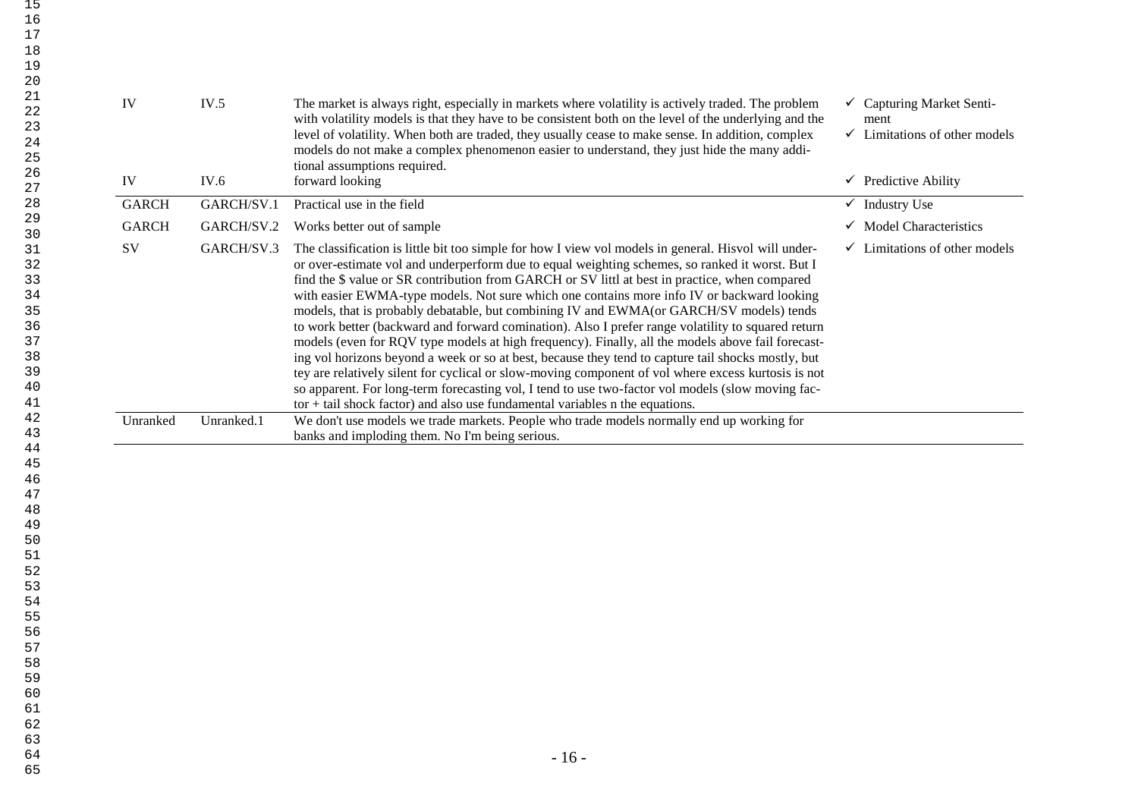| 21<br>IV<br>IV.5<br>The market is always right, especially in markets where volatility is actively traded. The problem<br>$\checkmark$ Capturing Market Senti-<br>22<br>with volatility models is that they have to be consistent both on the level of the underlying and the<br>ment<br>23<br>level of volatility. When both are traded, they usually cease to make sense. In addition, complex<br>$\checkmark$ Limitations of other models<br>24<br>models do not make a complex phenomenon easier to understand, they just hide the many addi-<br>25<br>tional assumptions required.<br>26<br>forward looking<br>$\checkmark$ Predictive Ability<br>IV<br>IV.6<br>27<br><b>Industry Use</b><br><b>GARCH</b><br>GARCH/SV.1<br>Practical use in the field<br>28<br>$\checkmark$<br>29<br>$\checkmark$ Model Characteristics<br><b>GARCH</b><br>GARCH/SV.2<br>Works better out of sample<br>30<br>SV<br>GARCH/SV.3<br>The classification is little bit too simple for how I view vol models in general. His vol will under-<br>$\checkmark$ Limitations of other models<br>31<br>or over-estimate vol and underperform due to equal weighting schemes, so ranked it worst. But I<br>32<br>find the \$ value or SR contribution from GARCH or SV littl at best in practice, when compared<br>33<br>with easier EWMA-type models. Not sure which one contains more info IV or backward looking<br>34<br>models, that is probably debatable, but combining IV and EWMA(or GARCH/SV models) tends<br>35<br>to work better (backward and forward comination). Also I prefer range volatility to squared return<br>36<br>models (even for RQV type models at high frequency). Finally, all the models above fail forecast-<br>37<br>ing vol horizons beyond a week or so at best, because they tend to capture tail shocks mostly, but<br>38<br>39<br>tey are relatively silent for cyclical or slow-moving component of vol where excess kurtosis is not<br>40<br>so apparent. For long-term forecasting vol, I tend to use two-factor vol models (slow moving fac-<br>41<br>$tor + tail$ shock factor) and also use fundamental variables n the equations.<br>42<br>We don't use models we trade markets. People who trade models normally end up working for<br>Unranked<br>Unranked.1<br>43<br>banks and imploding them. No I'm being serious.<br>44<br>45<br>46<br>47<br>48<br>49<br>50<br>51<br>52<br>53<br>54<br>55<br>56<br>57<br>58<br>59<br>60<br>61<br>62<br>63<br>64<br>$-16-$<br>65 | 19<br>20 |  |  |  |
|--------------------------------------------------------------------------------------------------------------------------------------------------------------------------------------------------------------------------------------------------------------------------------------------------------------------------------------------------------------------------------------------------------------------------------------------------------------------------------------------------------------------------------------------------------------------------------------------------------------------------------------------------------------------------------------------------------------------------------------------------------------------------------------------------------------------------------------------------------------------------------------------------------------------------------------------------------------------------------------------------------------------------------------------------------------------------------------------------------------------------------------------------------------------------------------------------------------------------------------------------------------------------------------------------------------------------------------------------------------------------------------------------------------------------------------------------------------------------------------------------------------------------------------------------------------------------------------------------------------------------------------------------------------------------------------------------------------------------------------------------------------------------------------------------------------------------------------------------------------------------------------------------------------------------------------------------------------------------------------------------------------------------------------------------------------------------------------------------------------------------------------------------------------------------------------------------------------------------------------------------------------------------------------------------------------------------------------------------------------------------------------------------------------------------------------------------------------------------------------------|----------|--|--|--|
|                                                                                                                                                                                                                                                                                                                                                                                                                                                                                                                                                                                                                                                                                                                                                                                                                                                                                                                                                                                                                                                                                                                                                                                                                                                                                                                                                                                                                                                                                                                                                                                                                                                                                                                                                                                                                                                                                                                                                                                                                                                                                                                                                                                                                                                                                                                                                                                                                                                                                            |          |  |  |  |
|                                                                                                                                                                                                                                                                                                                                                                                                                                                                                                                                                                                                                                                                                                                                                                                                                                                                                                                                                                                                                                                                                                                                                                                                                                                                                                                                                                                                                                                                                                                                                                                                                                                                                                                                                                                                                                                                                                                                                                                                                                                                                                                                                                                                                                                                                                                                                                                                                                                                                            |          |  |  |  |
|                                                                                                                                                                                                                                                                                                                                                                                                                                                                                                                                                                                                                                                                                                                                                                                                                                                                                                                                                                                                                                                                                                                                                                                                                                                                                                                                                                                                                                                                                                                                                                                                                                                                                                                                                                                                                                                                                                                                                                                                                                                                                                                                                                                                                                                                                                                                                                                                                                                                                            |          |  |  |  |
|                                                                                                                                                                                                                                                                                                                                                                                                                                                                                                                                                                                                                                                                                                                                                                                                                                                                                                                                                                                                                                                                                                                                                                                                                                                                                                                                                                                                                                                                                                                                                                                                                                                                                                                                                                                                                                                                                                                                                                                                                                                                                                                                                                                                                                                                                                                                                                                                                                                                                            |          |  |  |  |
|                                                                                                                                                                                                                                                                                                                                                                                                                                                                                                                                                                                                                                                                                                                                                                                                                                                                                                                                                                                                                                                                                                                                                                                                                                                                                                                                                                                                                                                                                                                                                                                                                                                                                                                                                                                                                                                                                                                                                                                                                                                                                                                                                                                                                                                                                                                                                                                                                                                                                            |          |  |  |  |
|                                                                                                                                                                                                                                                                                                                                                                                                                                                                                                                                                                                                                                                                                                                                                                                                                                                                                                                                                                                                                                                                                                                                                                                                                                                                                                                                                                                                                                                                                                                                                                                                                                                                                                                                                                                                                                                                                                                                                                                                                                                                                                                                                                                                                                                                                                                                                                                                                                                                                            |          |  |  |  |
|                                                                                                                                                                                                                                                                                                                                                                                                                                                                                                                                                                                                                                                                                                                                                                                                                                                                                                                                                                                                                                                                                                                                                                                                                                                                                                                                                                                                                                                                                                                                                                                                                                                                                                                                                                                                                                                                                                                                                                                                                                                                                                                                                                                                                                                                                                                                                                                                                                                                                            |          |  |  |  |
|                                                                                                                                                                                                                                                                                                                                                                                                                                                                                                                                                                                                                                                                                                                                                                                                                                                                                                                                                                                                                                                                                                                                                                                                                                                                                                                                                                                                                                                                                                                                                                                                                                                                                                                                                                                                                                                                                                                                                                                                                                                                                                                                                                                                                                                                                                                                                                                                                                                                                            |          |  |  |  |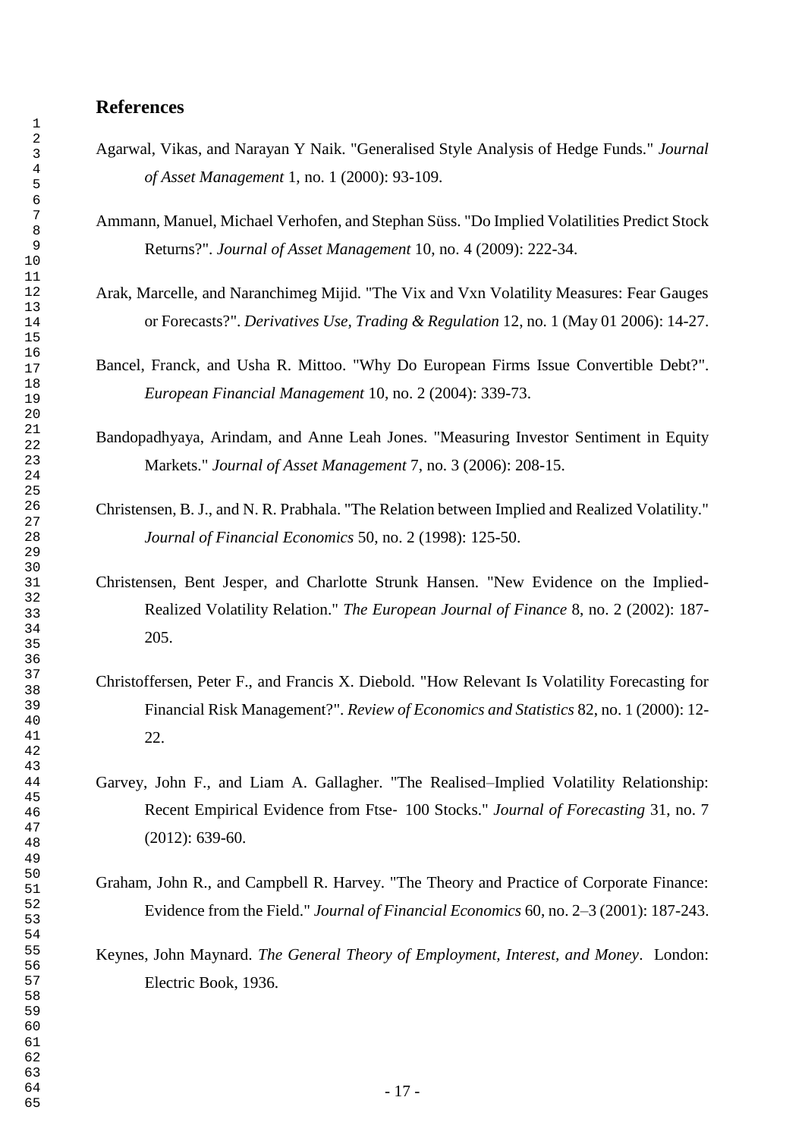# **References**

- Agarwal, Vikas, and Narayan Y Naik. "Generalised Style Analysis of Hedge Funds." *Journal of Asset Management* 1, no. 1 (2000): 93-109.
- Ammann, Manuel, Michael Verhofen, and Stephan Süss. "Do Implied Volatilities Predict Stock Returns?". *Journal of Asset Management* 10, no. 4 (2009): 222-34.
- Arak, Marcelle, and Naranchimeg Mijid. "The Vix and Vxn Volatility Measures: Fear Gauges or Forecasts?". *Derivatives Use, Trading & Regulation* 12, no. 1 (May 01 2006): 14-27.
- Bancel, Franck, and Usha R. Mittoo. "Why Do European Firms Issue Convertible Debt?". *European Financial Management* 10, no. 2 (2004): 339-73.
- Bandopadhyaya, Arindam, and Anne Leah Jones. "Measuring Investor Sentiment in Equity Markets." *Journal of Asset Management* 7, no. 3 (2006): 208-15.
- Christensen, B. J., and N. R. Prabhala. "The Relation between Implied and Realized Volatility." *Journal of Financial Economics* 50, no. 2 (1998): 125-50.
- Christensen, Bent Jesper, and Charlotte Strunk Hansen. "New Evidence on the Implied-Realized Volatility Relation." *The European Journal of Finance* 8, no. 2 (2002): 187- 205.
- Christoffersen, Peter F., and Francis X. Diebold. "How Relevant Is Volatility Forecasting for Financial Risk Management?". *Review of Economics and Statistics* 82, no. 1 (2000): 12- 22.
- Garvey, John F., and Liam A. Gallagher. "The Realised–Implied Volatility Relationship: Recent Empirical Evidence from Ftse‐ 100 Stocks." *Journal of Forecasting* 31, no. 7 (2012): 639-60.
- Graham, John R., and Campbell R. Harvey. "The Theory and Practice of Corporate Finance: Evidence from the Field." *Journal of Financial Economics* 60, no. 2–3 (2001): 187-243.
- Keynes, John Maynard. *The General Theory of Employment, Interest, and Money*. London: Electric Book, 1936.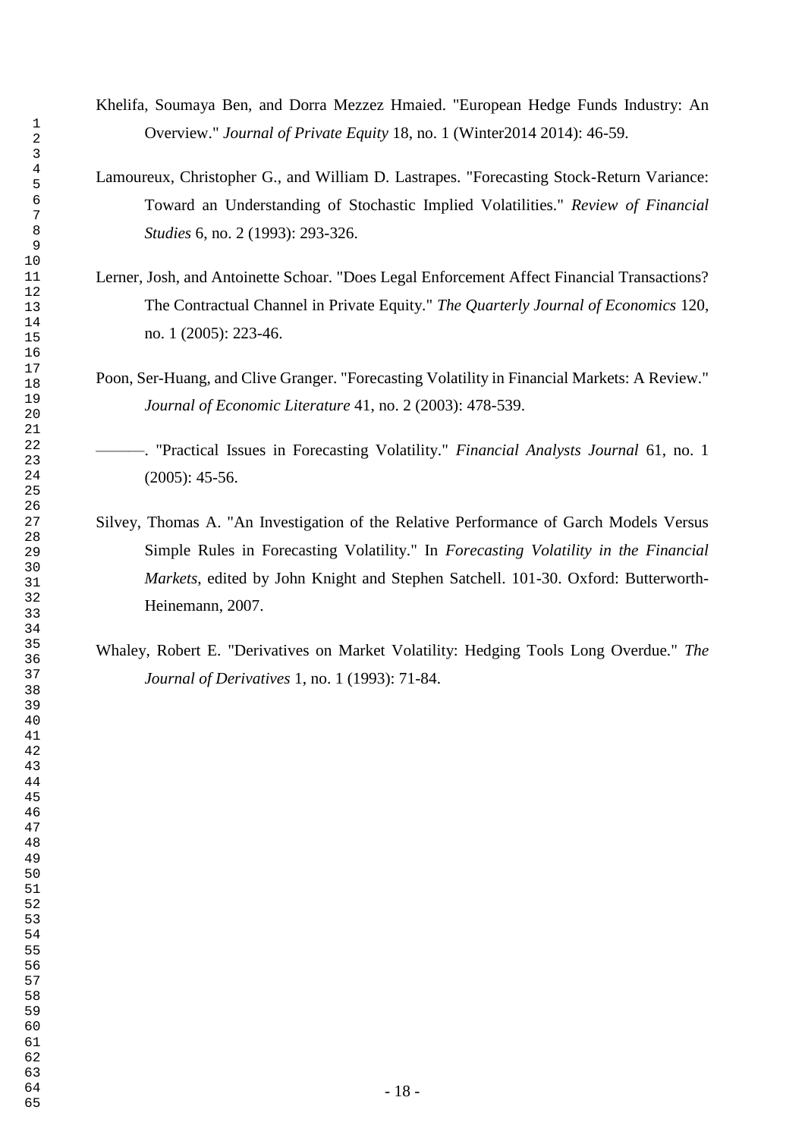- Khelifa, Soumaya Ben, and Dorra Mezzez Hmaied. "European Hedge Funds Industry: An Overview." *Journal of Private Equity* 18, no. 1 (Winter2014 2014): 46-59.
- Lamoureux, Christopher G., and William D. Lastrapes. "Forecasting Stock-Return Variance: Toward an Understanding of Stochastic Implied Volatilities." *Review of Financial Studies* 6, no. 2 (1993): 293-326.
- Lerner, Josh, and Antoinette Schoar. "Does Legal Enforcement Affect Financial Transactions? The Contractual Channel in Private Equity." *The Quarterly Journal of Economics* 120, no. 1 (2005): 223-46.
- Poon, Ser-Huang, and Clive Granger. "Forecasting Volatility in Financial Markets: A Review." *Journal of Economic Literature* 41, no. 2 (2003): 478-539.
- ———. "Practical Issues in Forecasting Volatility." *Financial Analysts Journal* 61, no. 1 (2005): 45-56.
- Silvey, Thomas A. "An Investigation of the Relative Performance of Garch Models Versus Simple Rules in Forecasting Volatility." In *Forecasting Volatility in the Financial Markets*, edited by John Knight and Stephen Satchell. 101-30. Oxford: Butterworth-Heinemann, 2007.
- Whaley, Robert E. "Derivatives on Market Volatility: Hedging Tools Long Overdue." *The Journal of Derivatives* 1, no. 1 (1993): 71-84.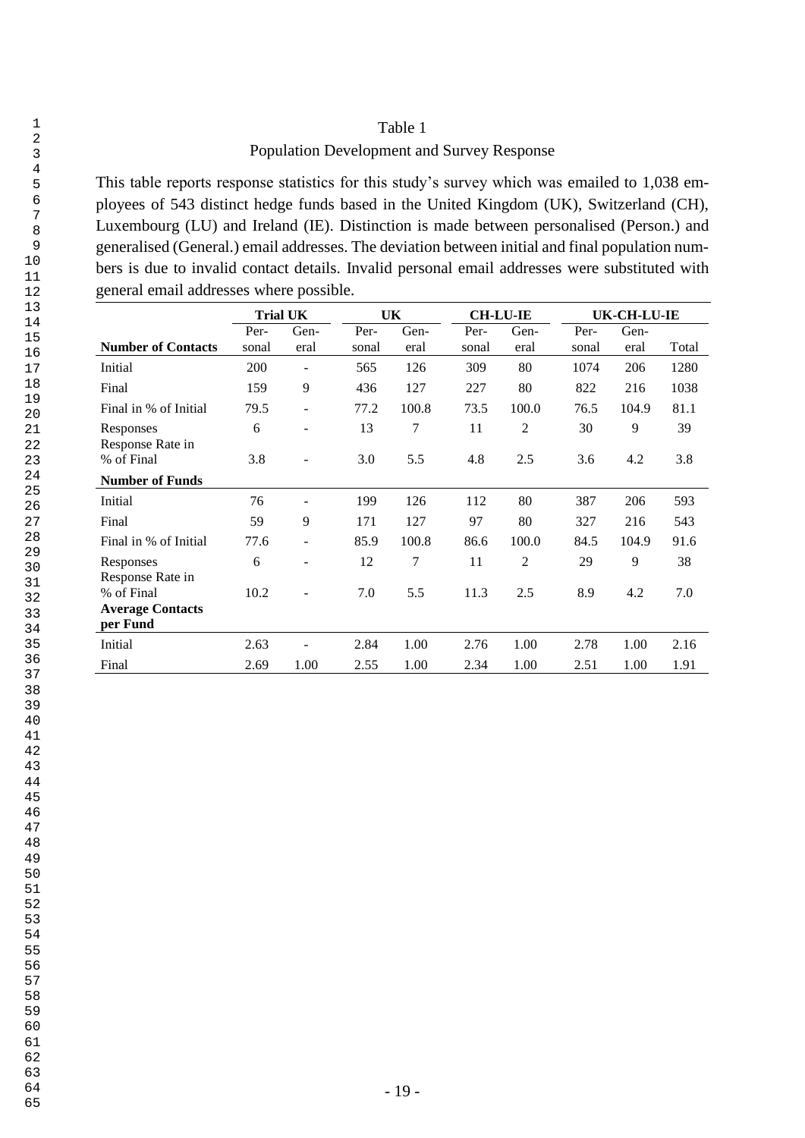# Table 1

## Population Development and Survey Response

This table reports response statistics for this study's survey which was emailed to 1,038 employees of 543 distinct hedge funds based in the United Kingdom (UK), Switzerland (CH), Luxembourg (LU) and Ireland (IE). Distinction is made between personalised (Person.) and generalised (General.) email addresses. The deviation between initial and final population numbers is due to invalid contact details. Invalid personal email addresses were substituted with general email addresses where possible.

|                                                                       | <b>Trial UK</b> |                |               | UK             |               | <b>CH-LU-IE</b> |               | <b>UK-CH-LU-IE</b> |       |
|-----------------------------------------------------------------------|-----------------|----------------|---------------|----------------|---------------|-----------------|---------------|--------------------|-------|
| <b>Number of Contacts</b>                                             | Per-<br>sonal   | Gen-<br>eral   | Per-<br>sonal | Gen-<br>eral   | Per-<br>sonal | Gen-<br>eral    | Per-<br>sonal | Gen-<br>eral       | Total |
| Initial                                                               | 200             | ۰              | 565           | 126            | 309           | 80              | 1074          | 206                | 1280  |
| Final                                                                 | 159             | 9              | 436           | 127            | 227           | 80              | 822           | 216                | 1038  |
| Final in % of Initial                                                 | 79.5            | $\blacksquare$ | 77.2          | 100.8          | 73.5          | 100.0           | 76.5          | 104.9              | 81.1  |
| Responses                                                             | 6               | $\overline{a}$ | 13            | 7              | 11            | $\overline{2}$  | 30            | 9                  | 39    |
| Response Rate in<br>% of Final                                        | 3.8             |                | 3.0           | 5.5            | 4.8           | 2.5             | 3.6           | 4.2                | 3.8   |
| <b>Number of Funds</b>                                                |                 |                |               |                |               |                 |               |                    |       |
| Initial                                                               | 76              |                | 199           | 126            | 112           | 80              | 387           | 206                | 593   |
| Final                                                                 | 59              | 9              | 171           | 127            | 97            | 80              | 327           | 216                | 543   |
| Final in % of Initial                                                 | 77.6            | ۰              | 85.9          | 100.8          | 86.6          | 100.0           | 84.5          | 104.9              | 91.6  |
| Responses                                                             | 6               |                | 12            | $\overline{7}$ | 11            | $\overline{2}$  | 29            | 9                  | 38    |
| Response Rate in<br>% of Final<br><b>Average Contacts</b><br>per Fund | 10.2            |                | 7.0           | 5.5            | 11.3          | 2.5             | 8.9           | 4.2                | 7.0   |
| Initial                                                               | 2.63            |                | 2.84          | 1.00           | 2.76          | 1.00            | 2.78          | 1.00               | 2.16  |
| Final                                                                 | 2.69            | 1.00           | 2.55          | 1.00           | 2.34          | 1.00            | 2.51          | 1.00               | 1.91  |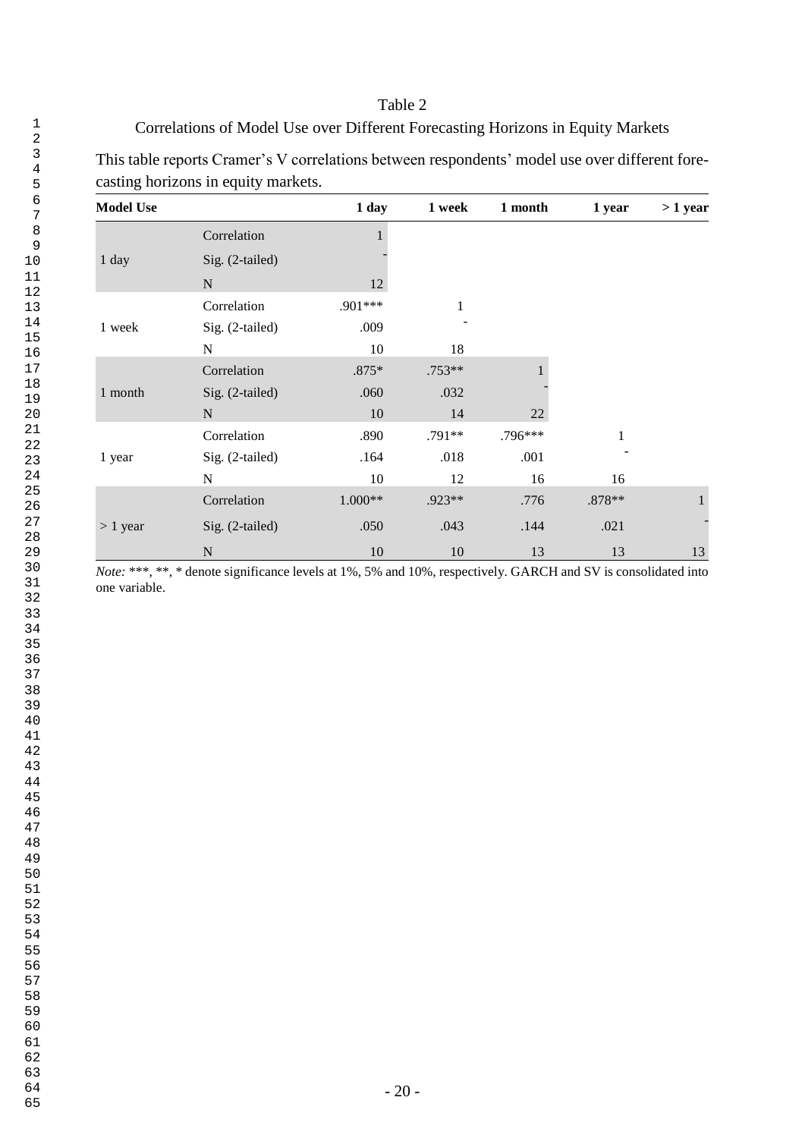# Table 2

# Correlations of Model Use over Different Forecasting Horizons in Equity Markets

This table reports Cramer's V correlations between respondents' model use over different forecasting horizons in equity markets.

| <b>Model Use</b> |                 | 1 day     | 1 week       | 1 month | 1 year | $>1$ year    |
|------------------|-----------------|-----------|--------------|---------|--------|--------------|
|                  | Correlation     |           |              |         |        |              |
| 1 day            | Sig. (2-tailed) |           |              |         |        |              |
|                  | $\mathbf N$     | 12        |              |         |        |              |
|                  | Correlation     | .901 ***  | $\mathbf{1}$ |         |        |              |
| 1 week           | Sig. (2-tailed) | .009      |              |         |        |              |
|                  | N               | 10        | 18           |         |        |              |
|                  | Correlation     | .875*     | .753**       |         |        |              |
| 1 month          | Sig. (2-tailed) | .060      | .032         |         |        |              |
|                  | $\mathbf N$     | 10        | 14           | $22\,$  |        |              |
|                  | Correlation     | .890      | .791**       | .796*** |        |              |
| 1 year           | Sig. (2-tailed) | .164      | .018         | .001    |        |              |
|                  | N               | 10        | 12           | 16      | 16     |              |
|                  | Correlation     | $1.000**$ | .923**       | .776    | .878** | $\mathbf{1}$ |
| $> 1$ year       | Sig. (2-tailed) | .050      | .043         | .144    | .021   |              |
|                  | $\mathbf N$     | 10        | 10           | 13      | 13     | 13           |

*Note:* \*\*\*, \*\*, \* denote significance levels at 1%, 5% and 10%, respectively. GARCH and SV is consolidated into one variable.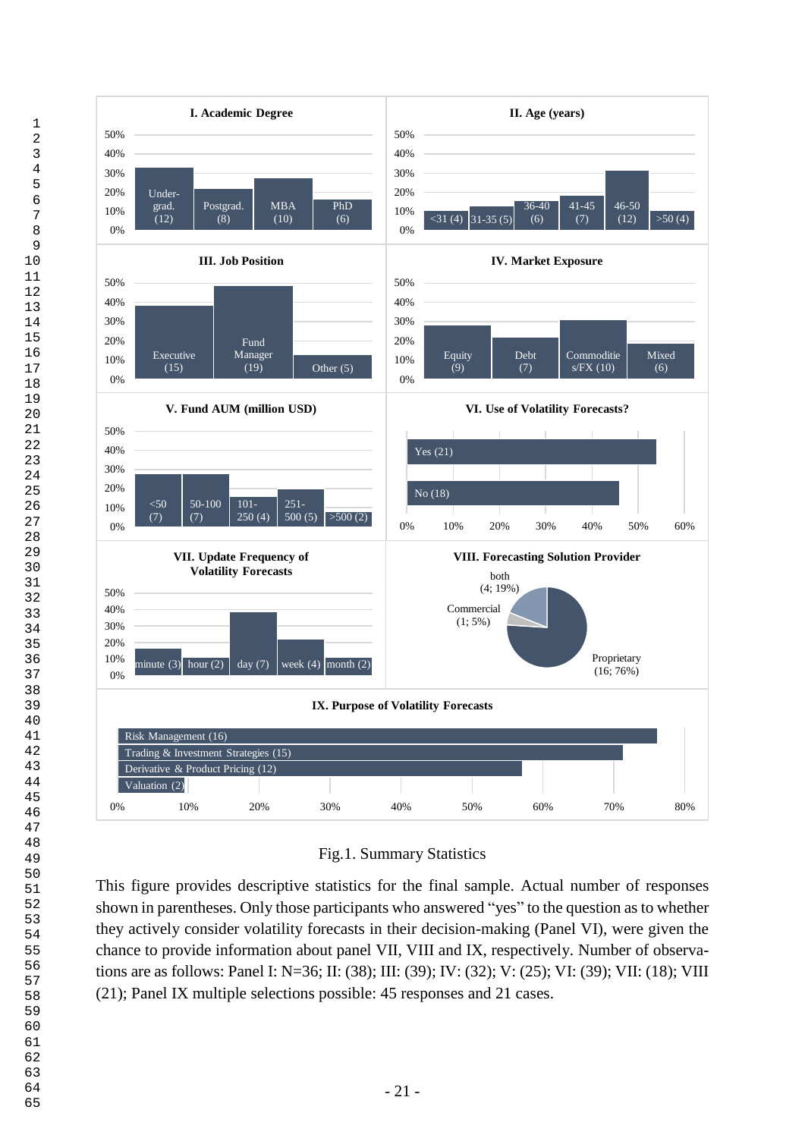

# Fig.1. Summary Statistics

This figure provides descriptive statistics for the final sample. Actual number of responses shown in parentheses. Only those participants who answered "yes" to the question as to whether they actively consider volatility forecasts in their decision-making (Panel VI), were given the chance to provide information about panel VII, VIII and IX, respectively. Number of observations are as follows: Panel I: N=36; II: (38); III: (39); IV: (32); V: (25); VI: (39); VII: (18); VIII (21); Panel IX multiple selections possible: 45 responses and 21 cases.

65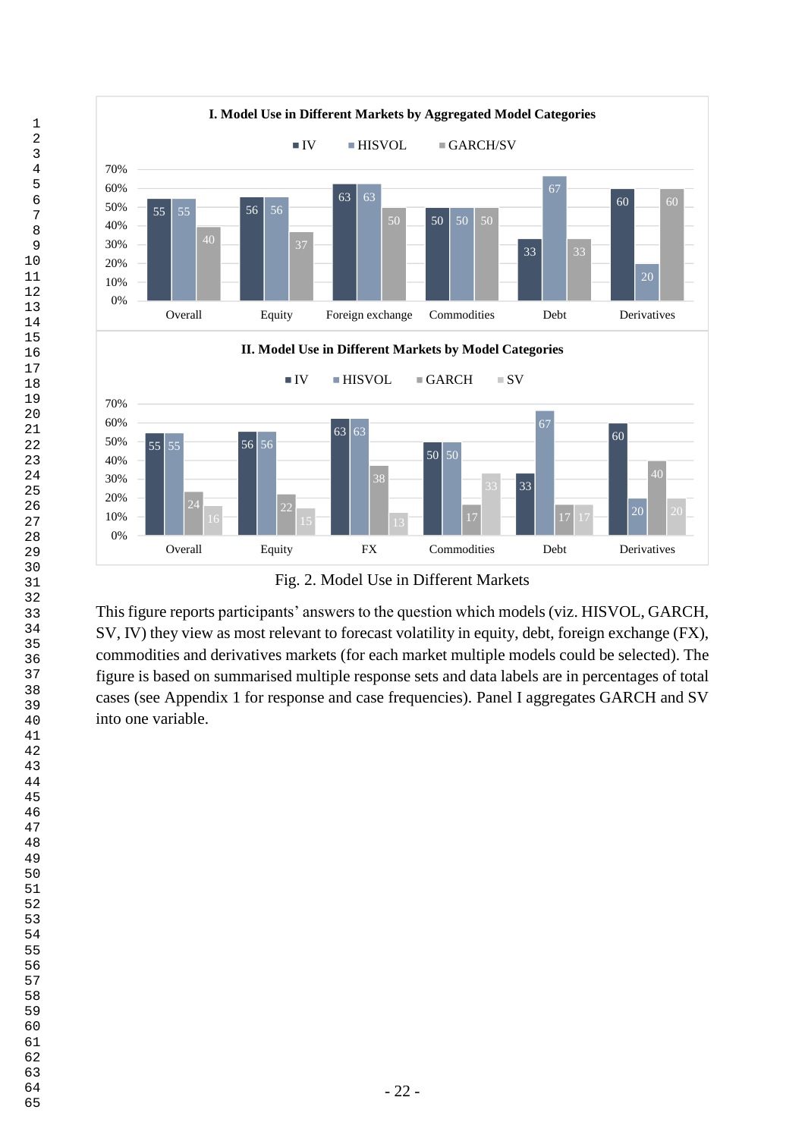

Fig. 2. Model Use in Different Markets

This figure reports participants' answers to the question which models (viz. HISVOL, GARCH, SV, IV) they view as most relevant to forecast volatility in equity, debt, foreign exchange (FX), commodities and derivatives markets (for each market multiple models could be selected). The figure is based on summarised multiple response sets and data labels are in percentages of total cases (see Appendix 1 for response and case frequencies). Panel I aggregates GARCH and SV into one variable.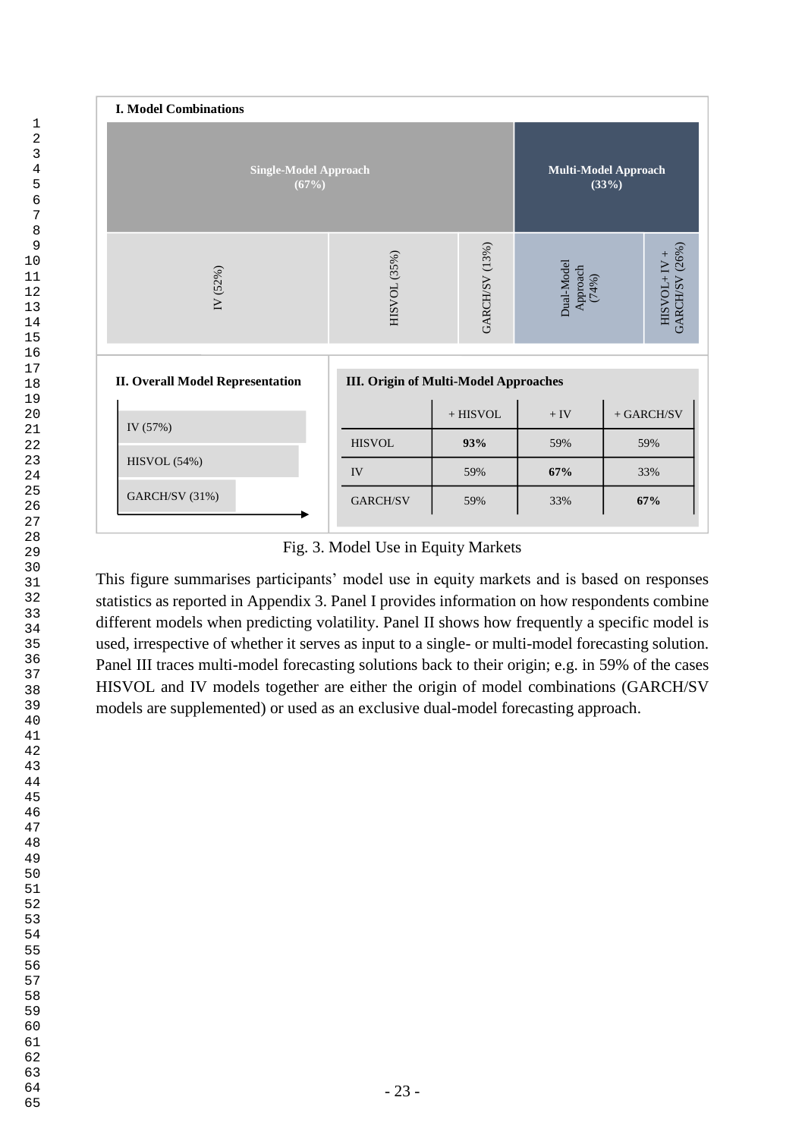

Fig. 3. Model Use in Equity Markets

This figure summarises participants' model use in equity markets and is based on responses statistics as reported in Appendix 3. Panel I provides information on how respondents combine different models when predicting volatility. Panel II shows how frequently a specific model is used, irrespective of whether it serves as input to a single- or multi-model forecasting solution. Panel III traces multi-model forecasting solutions back to their origin; e.g. in 59% of the cases HISVOL and IV models together are either the origin of model combinations (GARCH/SV models are supplemented) or used as an exclusive dual-model forecasting approach.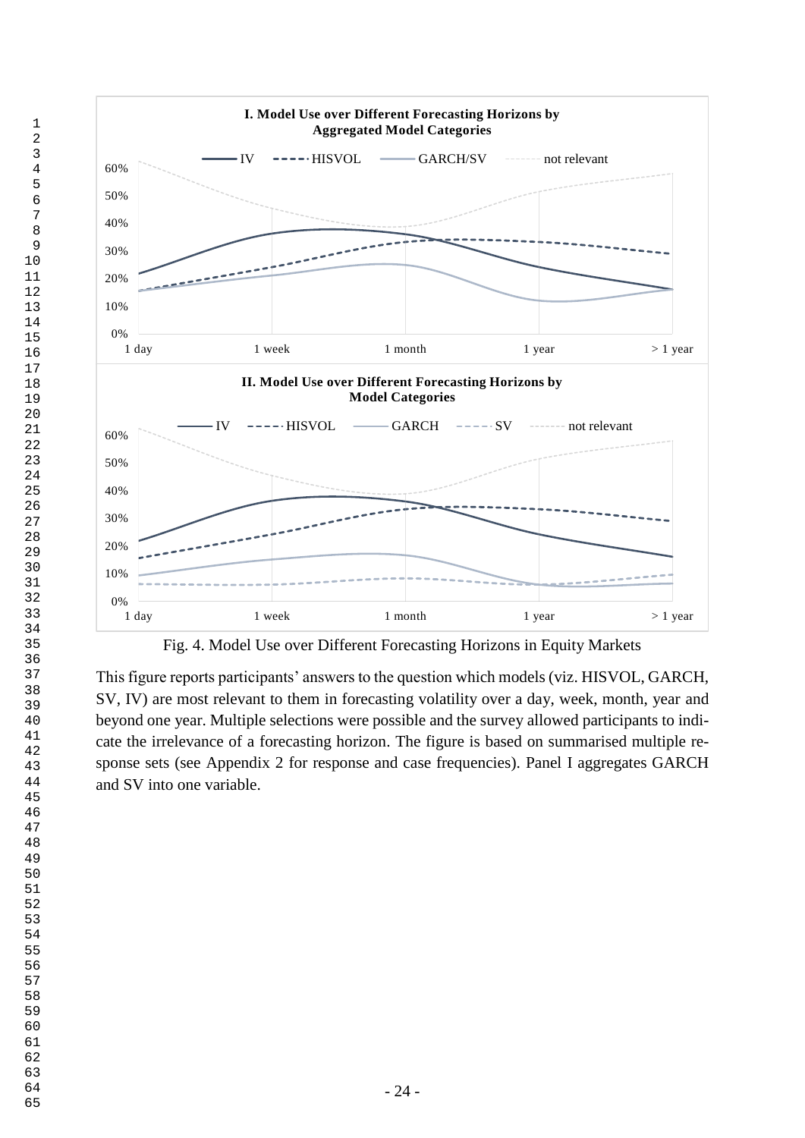

Fig. 4. Model Use over Different Forecasting Horizons in Equity Markets

This figure reports participants' answers to the question which models (viz. HISVOL, GARCH, SV, IV) are most relevant to them in forecasting volatility over a day, week, month, year and beyond one year. Multiple selections were possible and the survey allowed participants to indicate the irrelevance of a forecasting horizon. The figure is based on summarised multiple response sets (see Appendix 2 for response and case frequencies). Panel I aggregates GARCH and SV into one variable.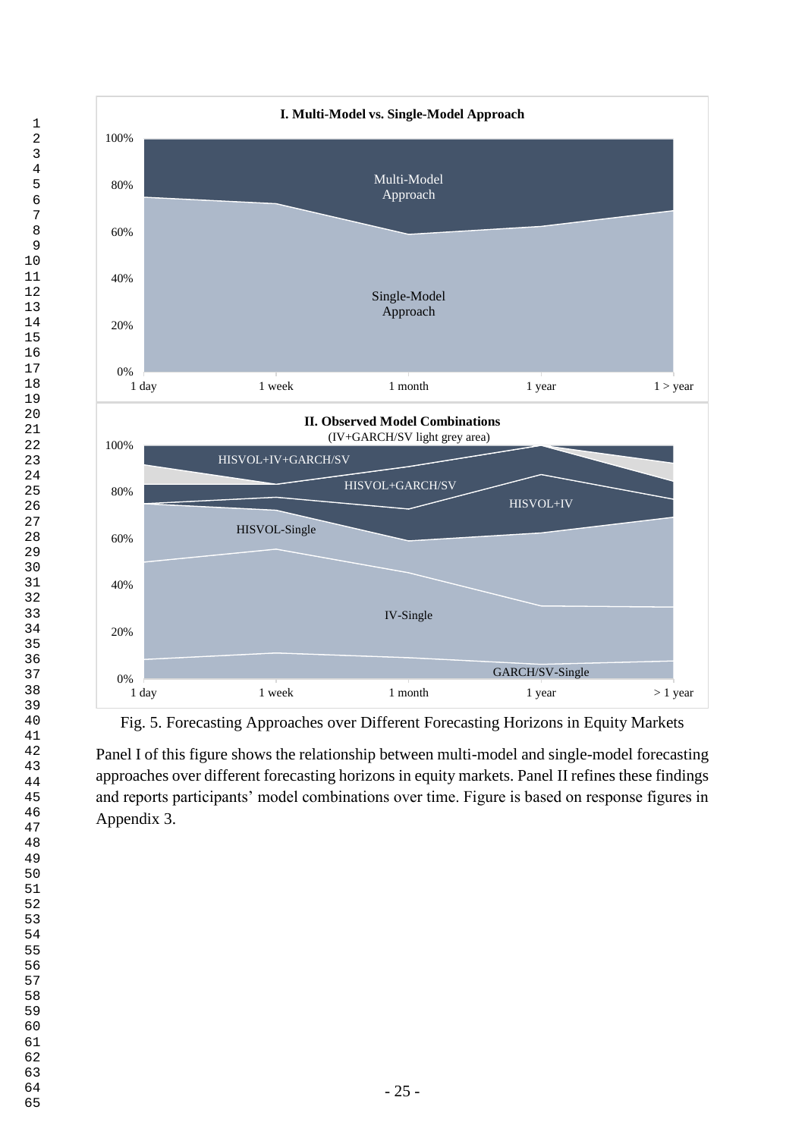

Fig. 5. Forecasting Approaches over Different Forecasting Horizons in Equity Markets

Panel I of this figure shows the relationship between multi-model and single-model forecasting approaches over different forecasting horizons in equity markets. Panel II refines these findings and reports participants' model combinations over time. Figure is based on response figures in Appendix 3.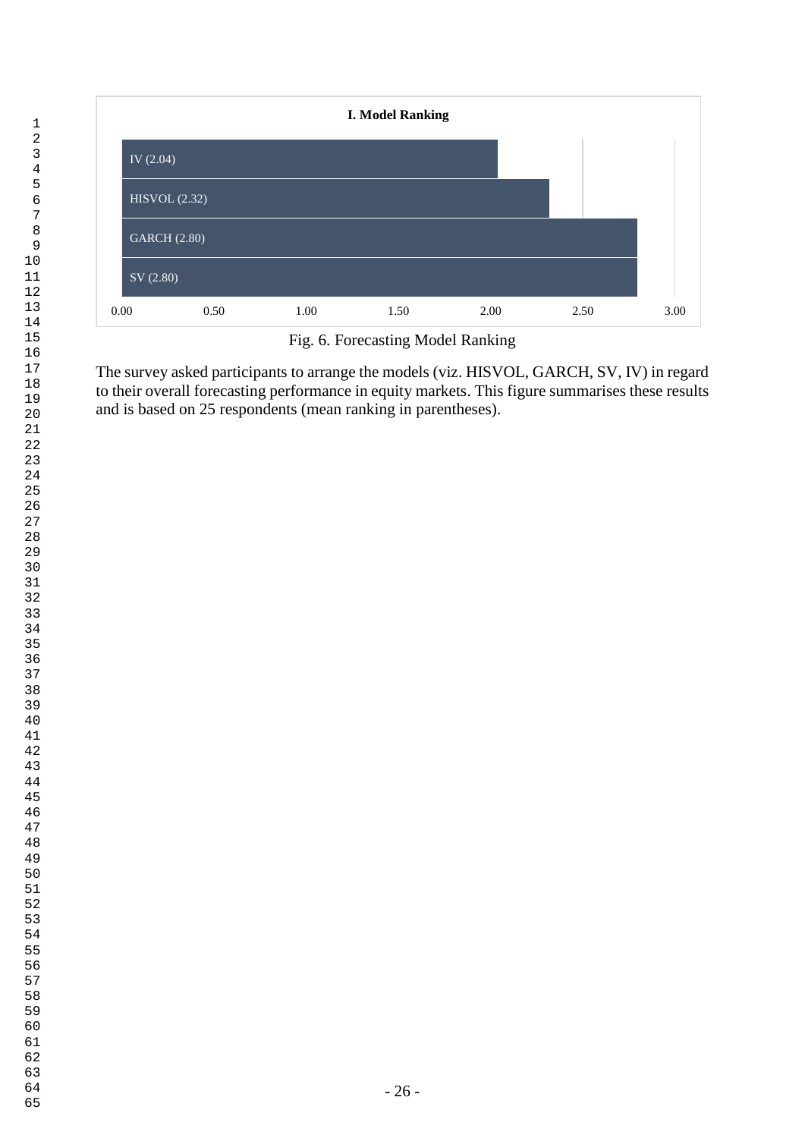

Fig. 6. Forecasting Model Ranking

The survey asked participants to arrange the models (viz. HISVOL, GARCH, SV, IV) in regard to their overall forecasting performance in equity markets. This figure summarises these results and is based on 25 respondents (mean ranking in parentheses).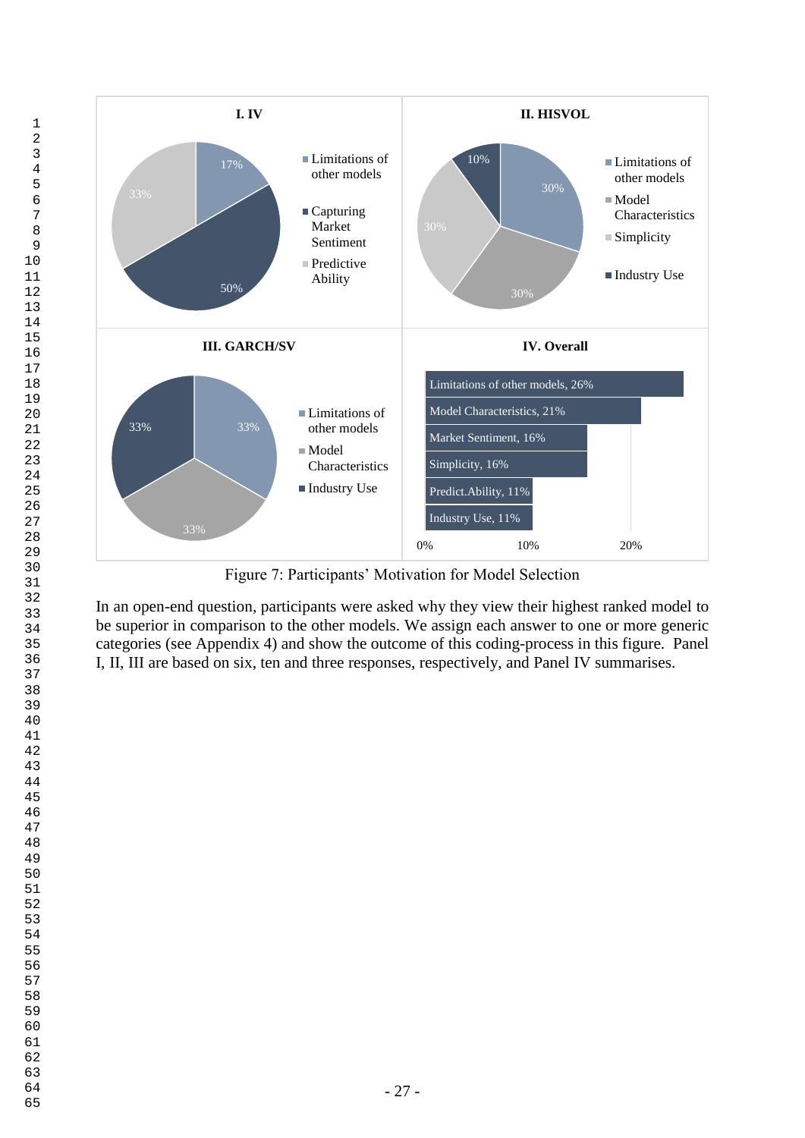

Figure 7: Participants' Motivation for Model Selection

In an open-end question, participants were asked why they view their highest ranked model to be superior in comparison to the other models. We assign each answer to one or more generic categories (see Appendix 4) and show the outcome of this coding-process in this figure. Panel I, II, III are based on six, ten and three responses, respectively, and Panel IV summarises.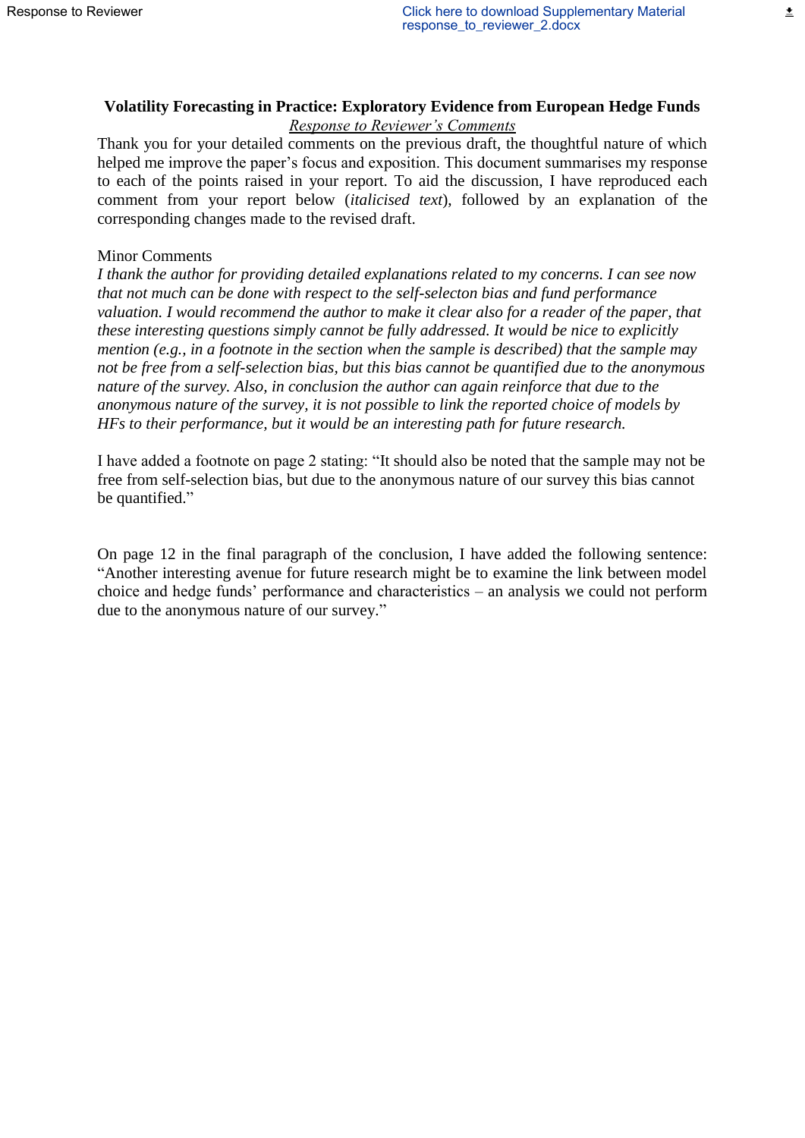# **Volatility Forecasting in Practice: Exploratory Evidence from European Hedge Funds** *Response to Reviewer's Comments*

Thank you for your detailed comments on the previous draft, the thoughtful nature of which helped me improve the paper's focus and exposition. This document summarises my response to each of the points raised in your report. To aid the discussion, I have reproduced each comment from your report below (*italicised text*), followed by an explanation of the corresponding changes made to the revised draft.

### Minor Comments

*I thank the author for providing detailed explanations related to my concerns. I can see now that not much can be done with respect to the self-selecton bias and fund performance valuation. I would recommend the author to make it clear also for a reader of the paper, that these interesting questions simply cannot be fully addressed. It would be nice to explicitly mention (e.g., in a footnote in the section when the sample is described) that the sample may not be free from a self-selection bias, but this bias cannot be quantified due to the anonymous nature of the survey. Also, in conclusion the author can again reinforce that due to the anonymous nature of the survey, it is not possible to link the reported choice of models by HFs to their performance, but it would be an interesting path for future research.*

I have added a footnote on page 2 stating: "It should also be noted that the sample may not be free from self-selection bias, but due to the anonymous nature of our survey this bias cannot be quantified."

On page 12 in the final paragraph of the conclusion, I have added the following sentence: "Another interesting avenue for future research might be to examine the link between model choice and hedge funds' performance and characteristics – an analysis we could not perform due to the anonymous nature of our survey."